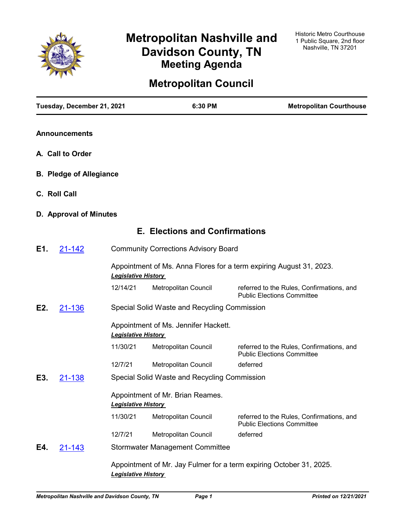

# **Metropolitan Nashville and Davidson County, TN Meeting Agenda**

# **Metropolitan Council**

|     | Tuesday, December 21, 2021     |                                      | 6:30 PM                                      | <b>Metropolitan Courthouse</b>                                                 |
|-----|--------------------------------|--------------------------------------|----------------------------------------------|--------------------------------------------------------------------------------|
|     | <b>Announcements</b>           |                                      |                                              |                                                                                |
|     | A. Call to Order               |                                      |                                              |                                                                                |
|     | <b>B. Pledge of Allegiance</b> |                                      |                                              |                                                                                |
|     | C. Roll Call                   |                                      |                                              |                                                                                |
|     | D. Approval of Minutes         |                                      |                                              |                                                                                |
|     |                                |                                      | <b>E. Elections and Confirmations</b>        |                                                                                |
| E1. | 21-142                         |                                      | <b>Community Corrections Advisory Board</b>  |                                                                                |
|     |                                | <b>Legislative History</b>           |                                              | Appointment of Ms. Anna Flores for a term expiring August 31, 2023.            |
|     |                                | 12/14/21                             | Metropolitan Council                         | referred to the Rules, Confirmations, and<br><b>Public Elections Committee</b> |
| E2. | 21-136                         |                                      | Special Solid Waste and Recycling Commission |                                                                                |
|     |                                | Appointment of Ms. Jennifer Hackett. |                                              |                                                                                |
|     |                                | 11/30/21                             | Metropolitan Council                         | referred to the Rules, Confirmations, and<br><b>Public Elections Committee</b> |
|     |                                | 12/7/21                              | Metropolitan Council                         | deferred                                                                       |
| E3. | 21-138                         |                                      | Special Solid Waste and Recycling Commission |                                                                                |
|     |                                | <b>Legislative History</b>           | Appointment of Mr. Brian Reames.             |                                                                                |
|     |                                | 11/30/21                             | Metropolitan Council                         | referred to the Rules, Confirmations, and<br><b>Public Elections Committee</b> |
|     |                                | 12/7/21                              | Metropolitan Council                         | deferred                                                                       |
| E4. | <u>21-143</u>                  |                                      | <b>Stormwater Management Committee</b>       |                                                                                |
|     |                                |                                      |                                              | Appointment of Mr. Jay Fulmer for a term expiring October 31, 2025.            |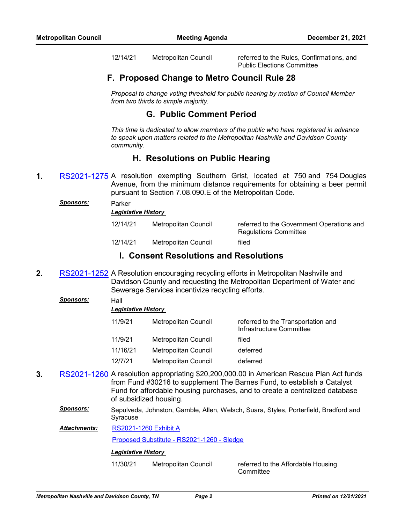12/14/21 Metropolitan Council referred to the Rules, Confirmations, and Public Elections Committee

# **F. Proposed Change to Metro Council Rule 28**

*Proposal to change voting threshold for public hearing by motion of Council Member from two thirds to simple majority.*

# **G. Public Comment Period**

*This time is dedicated to allow members of the public who have registered in advance to speak upon matters related to the Metropolitan Nashville and Davidson County community.*

# **H. Resolutions on Public Hearing**

- **1.** [RS2021-1275](http://nashville.legistar.com/gateway.aspx?m=l&id=/matter.aspx?key=13919) A resolution exempting Southern Grist, located at 750 and 754 Douglas Avenue, from the minimum distance requirements for obtaining a beer permit pursuant to Section 7.08.090.E of the Metropolitan Code.
	- *Sponsors:* Parker *Legislative History*  12/14/21 Metropolitan Council referred to the Government Operations and Regulations Committee 12/14/21 Metropolitan Council filed

# **I. Consent Resolutions and Resolutions**

**2.** [RS2021-1252](http://nashville.legistar.com/gateway.aspx?m=l&id=/matter.aspx?key=13852) A Resolution encouraging recycling efforts in Metropolitan Nashville and Davidson County and requesting the Metropolitan Department of Water and Sewerage Services incentivize recycling efforts.

| <b>Sponsors:</b> | Hall     | <b>Legislative History</b> |                                                                |  |  |
|------------------|----------|----------------------------|----------------------------------------------------------------|--|--|
|                  | 11/9/21  | Metropolitan Council       | referred to the Transportation and<br>Infrastructure Committee |  |  |
|                  | 11/9/21  | Metropolitan Council       | filed                                                          |  |  |
|                  | 11/16/21 | Metropolitan Council       | deferred                                                       |  |  |
|                  | 12/7/21  | Metropolitan Council       | deferred                                                       |  |  |
|                  |          | .                          |                                                                |  |  |

- **3.** [RS2021-1260](http://nashville.legistar.com/gateway.aspx?m=l&id=/matter.aspx?key=13900) A resolution appropriating \$20,200,000.00 in American Rescue Plan Act funds from Fund #30216 to supplement The Barnes Fund, to establish a Catalyst Fund for affordable housing purchases, and to create a centralized database of subsidized housing.
	- *Sponsors:* Sepulveda, Johnston, Gamble, Allen, Welsch, Suara, Styles, Porterfield, Bradford and Syracuse

[RS2021-1260 Exhibit A](http://nashville.legistar.com/gateway.aspx?M=F&ID=281000bf-c7e0-4268-8b6a-2763ca903f06.PDF) *Attachments:*

[Proposed Substitute - RS2021-1260 - Sledge](http://nashville.legistar.com/gateway.aspx?M=F&ID=9984e10a-8a8a-4661-8b8e-a93e35f9e409.docx)

#### *Legislative History*

11/30/21 Metropolitan Council referred to the Affordable Housing

**Committee**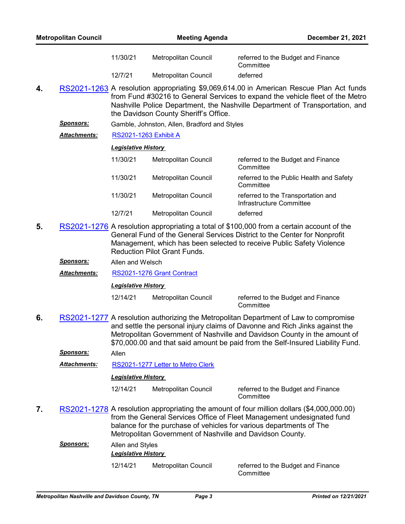|    | <b>Metropolitan Council</b> |                                                                                                                                                                                                                                                                                                                                     | <b>Meeting Agenda</b>                                                                                                                                                                                                                                                                             | December 21, 2021                                              |  |
|----|-----------------------------|-------------------------------------------------------------------------------------------------------------------------------------------------------------------------------------------------------------------------------------------------------------------------------------------------------------------------------------|---------------------------------------------------------------------------------------------------------------------------------------------------------------------------------------------------------------------------------------------------------------------------------------------------|----------------------------------------------------------------|--|
|    |                             | 11/30/21                                                                                                                                                                                                                                                                                                                            | Metropolitan Council                                                                                                                                                                                                                                                                              | referred to the Budget and Finance<br>Committee                |  |
|    |                             | 12/7/21                                                                                                                                                                                                                                                                                                                             | Metropolitan Council                                                                                                                                                                                                                                                                              | deferred                                                       |  |
| 4. |                             |                                                                                                                                                                                                                                                                                                                                     | RS2021-1263 A resolution appropriating \$9,069,614.00 in American Rescue Plan Act funds<br>from Fund #30216 to General Services to expand the vehicle fleet of the Metro<br>Nashville Police Department, the Nashville Department of Transportation, and<br>the Davidson County Sheriff's Office. |                                                                |  |
|    | <u>Sponsors:</u>            |                                                                                                                                                                                                                                                                                                                                     | Gamble, Johnston, Allen, Bradford and Styles                                                                                                                                                                                                                                                      |                                                                |  |
|    | <b>Attachments:</b>         | <b>RS2021-1263 Exhibit A</b>                                                                                                                                                                                                                                                                                                        |                                                                                                                                                                                                                                                                                                   |                                                                |  |
|    |                             | <b>Legislative History</b>                                                                                                                                                                                                                                                                                                          |                                                                                                                                                                                                                                                                                                   |                                                                |  |
|    |                             | 11/30/21                                                                                                                                                                                                                                                                                                                            | Metropolitan Council                                                                                                                                                                                                                                                                              | referred to the Budget and Finance<br>Committee                |  |
|    |                             | 11/30/21                                                                                                                                                                                                                                                                                                                            | Metropolitan Council                                                                                                                                                                                                                                                                              | referred to the Public Health and Safety<br>Committee          |  |
|    |                             | 11/30/21                                                                                                                                                                                                                                                                                                                            | Metropolitan Council                                                                                                                                                                                                                                                                              | referred to the Transportation and<br>Infrastructure Committee |  |
|    |                             | 12/7/21                                                                                                                                                                                                                                                                                                                             | Metropolitan Council                                                                                                                                                                                                                                                                              | deferred                                                       |  |
| 5. |                             | RS2021-1276 A resolution appropriating a total of \$100,000 from a certain account of the<br>General Fund of the General Services District to the Center for Nonprofit<br>Management, which has been selected to receive Public Safety Violence<br><b>Reduction Pilot Grant Funds.</b>                                              |                                                                                                                                                                                                                                                                                                   |                                                                |  |
|    | <u>Sponsors:</u>            | Allen and Welsch                                                                                                                                                                                                                                                                                                                    |                                                                                                                                                                                                                                                                                                   |                                                                |  |
|    | <b>Attachments:</b>         |                                                                                                                                                                                                                                                                                                                                     | RS2021-1276 Grant Contract                                                                                                                                                                                                                                                                        |                                                                |  |
|    |                             | <b>Legislative History</b>                                                                                                                                                                                                                                                                                                          |                                                                                                                                                                                                                                                                                                   |                                                                |  |
|    |                             | 12/14/21                                                                                                                                                                                                                                                                                                                            | Metropolitan Council                                                                                                                                                                                                                                                                              | referred to the Budget and Finance<br>Committee                |  |
| 6. |                             | RS2021-1277 A resolution authorizing the Metropolitan Department of Law to compromise<br>and settle the personal injury claims of Davonne and Rich Jinks against the<br>Metropolitan Government of Nashville and Davidson County in the amount of<br>\$70,000.00 and that said amount be paid from the Self-Insured Liability Fund. |                                                                                                                                                                                                                                                                                                   |                                                                |  |
|    | <b>Sponsors:</b>            | Allen                                                                                                                                                                                                                                                                                                                               |                                                                                                                                                                                                                                                                                                   |                                                                |  |
|    | <b>Attachments:</b>         |                                                                                                                                                                                                                                                                                                                                     | RS2021-1277 Letter to Metro Clerk                                                                                                                                                                                                                                                                 |                                                                |  |
|    |                             | <b>Legislative History</b>                                                                                                                                                                                                                                                                                                          |                                                                                                                                                                                                                                                                                                   |                                                                |  |
|    |                             | 12/14/21                                                                                                                                                                                                                                                                                                                            | Metropolitan Council                                                                                                                                                                                                                                                                              | referred to the Budget and Finance<br>Committee                |  |
| 7. |                             | RS2021-1278 A resolution appropriating the amount of four million dollars (\$4,000,000.00)<br>from the General Services Office of Fleet Management undesignated fund<br>balance for the purchase of vehicles for various departments of The<br>Metropolitan Government of Nashville and Davidson County.                            |                                                                                                                                                                                                                                                                                                   |                                                                |  |
|    | <u>Sponsors:</u>            | Allen and Styles<br><b>Legislative History</b>                                                                                                                                                                                                                                                                                      |                                                                                                                                                                                                                                                                                                   |                                                                |  |
|    |                             | 12/14/21                                                                                                                                                                                                                                                                                                                            | Metropolitan Council                                                                                                                                                                                                                                                                              | referred to the Budget and Finance<br>Committee                |  |
|    |                             |                                                                                                                                                                                                                                                                                                                                     |                                                                                                                                                                                                                                                                                                   |                                                                |  |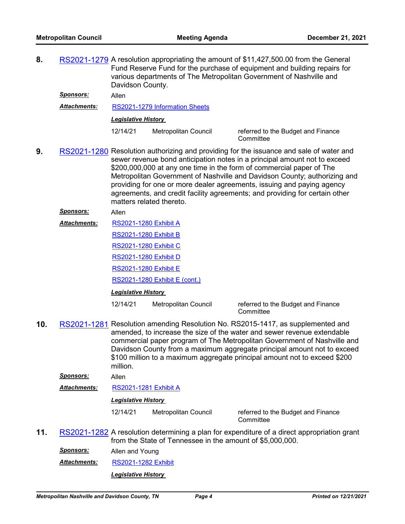**8.** [RS2021-1279](http://nashville.legistar.com/gateway.aspx?m=l&id=/matter.aspx?key=13945) A resolution appropriating the amount of \$11,427,500.00 from the General Fund Reserve Fund for the purchase of equipment and building repairs for various departments of The Metropolitan Government of Nashville and Davidson County.

*Sponsors:* Allen

*Attachments:* [RS2021-1279 Information Sheets](http://nashville.legistar.com/gateway.aspx?M=F&ID=651a8d22-65fb-4441-a767-da587d970e69.PDF)

*Legislative History* 

12/14/21 Metropolitan Council referred to the Budget and Finance

**Committee** 

- **9.** [RS2021-1280](http://nashville.legistar.com/gateway.aspx?m=l&id=/matter.aspx?key=13946) Resolution authorizing and providing for the issuance and sale of water and sewer revenue bond anticipation notes in a principal amount not to exceed \$200,000,000 at any one time in the form of commercial paper of The Metropolitan Government of Nashville and Davidson County; authorizing and providing for one or more dealer agreements, issuing and paying agency agreements, and credit facility agreements; and providing for certain other matters related thereto.
	- *Sponsors:* Allen
	- [RS2021-1280 Exhibit A](http://nashville.legistar.com/gateway.aspx?M=F&ID=d15de8d1-70f8-4589-aff5-1b880cadf6d3.DOC) [RS2021-1280 Exhibit B](http://nashville.legistar.com/gateway.aspx?M=F&ID=2311f592-1a2d-4f28-9d30-03e535cb0baa.DOCX) [RS2021-1280 Exhibit C](http://nashville.legistar.com/gateway.aspx?M=F&ID=9f57fa78-6e25-4c45-b37e-5fe8036950cf.DOCX) *Attachments:*

[RS2021-1280 Exhibit D](http://nashville.legistar.com/gateway.aspx?M=F&ID=af801358-aa21-499d-8153-e5129d4024e6.DOC)

[RS2021-1280 Exhibit E](http://nashville.legistar.com/gateway.aspx?M=F&ID=39cc9a30-a814-45e7-b814-6e6656194805.DOCX)

[RS2021-1280 Exhibit E \(cont.\)](http://nashville.legistar.com/gateway.aspx?M=F&ID=5aeaab18-4c20-47a6-a5e2-588f5eed0a9c.DOC)

*Legislative History* 

12/14/21 Metropolitan Council referred to the Budget and Finance

**Committee** 

**10.** [RS2021-1281](http://nashville.legistar.com/gateway.aspx?m=l&id=/matter.aspx?key=13948) Resolution amending Resolution No. RS2015-1417, as supplemented and amended, to increase the size of the water and sewer revenue extendable commercial paper program of The Metropolitan Government of Nashville and Davidson County from a maximum aggregate principal amount not to exceed \$100 million to a maximum aggregate principal amount not to exceed \$200 million.

*Sponsors:* Allen

*Attachments:* [RS2021-1281 Exhibit A](http://nashville.legistar.com/gateway.aspx?M=F&ID=ff485027-7da1-468d-a760-6de58ade4a3d.docx)

*Legislative History* 

12/14/21 Metropolitan Council referred to the Budget and Finance

**Committee** 

**11.** [RS2021-1282](http://nashville.legistar.com/gateway.aspx?m=l&id=/matter.aspx?key=13944) A resolution determining a plan for expenditure of a direct appropriation grant from the State of Tennessee in the amount of \$5,000,000.

*Sponsors:* Allen and Young

*Attachments:* [RS2021-1282 Exhibit](http://nashville.legistar.com/gateway.aspx?M=F&ID=08bc87c6-1a23-4820-805d-f3dd733caebf.pdf)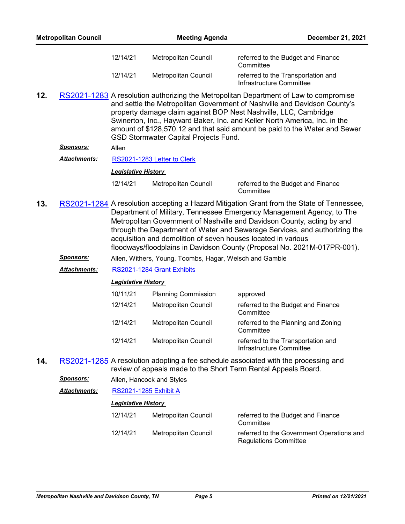| <b>Metropolitan Council</b>                                                                                                                                                                                                                                                                                                                                                                                                                               |                     |                                                                                                                                                                                                                                                                                                                                                                                              | <b>Meeting Agenda</b>       | <b>December 21, 2021</b>                                       |
|-----------------------------------------------------------------------------------------------------------------------------------------------------------------------------------------------------------------------------------------------------------------------------------------------------------------------------------------------------------------------------------------------------------------------------------------------------------|---------------------|----------------------------------------------------------------------------------------------------------------------------------------------------------------------------------------------------------------------------------------------------------------------------------------------------------------------------------------------------------------------------------------------|-----------------------------|----------------------------------------------------------------|
|                                                                                                                                                                                                                                                                                                                                                                                                                                                           |                     | 12/14/21                                                                                                                                                                                                                                                                                                                                                                                     | Metropolitan Council        | referred to the Budget and Finance<br>Committee                |
|                                                                                                                                                                                                                                                                                                                                                                                                                                                           |                     | 12/14/21                                                                                                                                                                                                                                                                                                                                                                                     | Metropolitan Council        | referred to the Transportation and<br>Infrastructure Committee |
| 12.<br>RS2021-1283 A resolution authorizing the Metropolitan Department of Law to compromise<br>and settle the Metropolitan Government of Nashville and Davidson County's<br>property damage claim against BOP Nest Nashville, LLC, Cambridge<br>Swinerton, Inc., Hayward Baker, Inc. and Keller North America, Inc. in the<br>amount of \$128,570.12 and that said amount be paid to the Water and Sewer<br><b>GSD Stormwater Capital Projects Fund.</b> |                     |                                                                                                                                                                                                                                                                                                                                                                                              |                             |                                                                |
|                                                                                                                                                                                                                                                                                                                                                                                                                                                           | <b>Sponsors:</b>    | Allen                                                                                                                                                                                                                                                                                                                                                                                        |                             |                                                                |
|                                                                                                                                                                                                                                                                                                                                                                                                                                                           | <b>Attachments:</b> |                                                                                                                                                                                                                                                                                                                                                                                              | RS2021-1283 Letter to Clerk |                                                                |
|                                                                                                                                                                                                                                                                                                                                                                                                                                                           |                     | <b>Legislative History</b>                                                                                                                                                                                                                                                                                                                                                                   |                             |                                                                |
|                                                                                                                                                                                                                                                                                                                                                                                                                                                           |                     | 12/14/21                                                                                                                                                                                                                                                                                                                                                                                     | Metropolitan Council        | referred to the Budget and Finance<br>Committee                |
| 13.                                                                                                                                                                                                                                                                                                                                                                                                                                                       |                     | RS2021-1284 A resolution accepting a Hazard Mitigation Grant from the State of Tennessee,<br>Department of Military, Tennessee Emergency Management Agency, to The<br>Metropolitan Government of Nashville and Davidson County, acting by and<br>through the Department of Water and Sewerage Services, and authorizing the<br>acquisition and demolition of seven houses located in various |                             |                                                                |

floodways/floodplains in Davidson County (Proposal No. 2021M-017PR-001).

- *Sponsors:* Allen, Withers, Young, Toombs, Hagar, Welsch and Gamble
- *Attachments:* [RS2021-1284 Grant Exhibits](http://nashville.legistar.com/gateway.aspx?M=F&ID=7eb682b2-1bb0-4f6f-8a0b-c76299e3c49d.pdf)

### *Legislative History*

| 10/11/21 | <b>Planning Commission</b>  | approved                                                       |
|----------|-----------------------------|----------------------------------------------------------------|
| 12/14/21 | Metropolitan Council        | referred to the Budget and Finance<br>Committee                |
| 12/14/21 | <b>Metropolitan Council</b> | referred to the Planning and Zoning<br>Committee               |
| 12/14/21 | <b>Metropolitan Council</b> | referred to the Transportation and<br>Infrastructure Committee |

**14.** [RS2021-1285](http://nashville.legistar.com/gateway.aspx?m=l&id=/matter.aspx?key=13940) A resolution adopting a fee schedule associated with the processing and review of appeals made to the Short Term Rental Appeals Board.

| Sponsors:           |          | Allen, Hancock and Styles    |                                                                           |  |  |  |
|---------------------|----------|------------------------------|---------------------------------------------------------------------------|--|--|--|
| <b>Attachments:</b> |          | <b>RS2021-1285 Exhibit A</b> |                                                                           |  |  |  |
|                     |          | <b>Legislative History</b>   |                                                                           |  |  |  |
|                     | 12/14/21 | Metropolitan Council         | referred to the Budget and Finance<br>Committee                           |  |  |  |
|                     | 12/14/21 | Metropolitan Council         | referred to the Government Operations and<br><b>Regulations Committee</b> |  |  |  |
|                     |          |                              |                                                                           |  |  |  |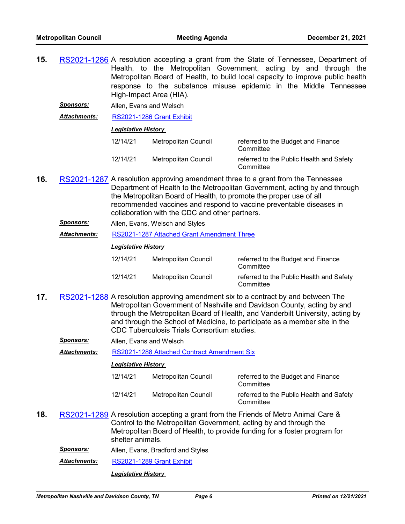- **15.** [RS2021-1286](http://nashville.legistar.com/gateway.aspx?m=l&id=/matter.aspx?key=13951) A resolution accepting a grant from the State of Tennessee, Department of Health, to the Metropolitan Government, acting by and through the Metropolitan Board of Health, to build local capacity to improve public health response to the substance misuse epidemic in the Middle Tennessee High-Impact Area (HIA).
	- *Sponsors:* Allen, Evans and Welsch

*Attachments:* [RS2021-1286 Grant Exhibit](http://nashville.legistar.com/gateway.aspx?M=F&ID=3231a6d0-db1d-4838-b2af-3ea31f8c2acb.pdf)

*Legislative History* 

| 12/14/21 | Metropolitan Council | referred to the Budget and Finance<br>Committee       |
|----------|----------------------|-------------------------------------------------------|
| 12/14/21 | Metropolitan Council | referred to the Public Health and Safety<br>Committee |

- **16.** [RS2021-1287](http://nashville.legistar.com/gateway.aspx?m=l&id=/matter.aspx?key=13930) A resolution approving amendment three to a grant from the Tennessee Department of Health to the Metropolitan Government, acting by and through the Metropolitan Board of Health, to promote the proper use of all recommended vaccines and respond to vaccine preventable diseases in collaboration with the CDC and other partners.
	- *Sponsors:* Allen, Evans, Welsch and Styles
	- *Attachments:* [RS2021-1287 Attached Grant Amendment Three](http://nashville.legistar.com/gateway.aspx?M=F&ID=e568d9a3-3fec-43dd-a3fd-0eacd9783f6f.pdf)

#### *Legislative History*

| 12/14/21 | Metropolitan Council | referred to the Budget and Finance<br>Committee       |
|----------|----------------------|-------------------------------------------------------|
| 12/14/21 | Metropolitan Council | referred to the Public Health and Safety<br>Committee |

- **17.** [RS2021-1288](http://nashville.legistar.com/gateway.aspx?m=l&id=/matter.aspx?key=13929) A resolution approving amendment six to a contract by and between The Metropolitan Government of Nashville and Davidson County, acting by and through the Metropolitan Board of Health, and Vanderbilt University, acting by and through the School of Medicine, to participate as a member site in the CDC Tuberculosis Trials Consortium studies.
	- *Sponsors:* Allen, Evans and Welsch

*Attachments:* [RS2021-1288 Attached Contract Amendment Six](http://nashville.legistar.com/gateway.aspx?M=F&ID=c3dbd793-53f4-4740-a8c7-e22df4efd4a3.pdf)

#### *Legislative History*

- 12/14/21 Metropolitan Council referred to the Budget and Finance **Committee** 12/14/21 Metropolitan Council referred to the Public Health and Safety **Committee**
- **18.** [RS2021-1289](http://nashville.legistar.com/gateway.aspx?m=l&id=/matter.aspx?key=13938) A resolution accepting a grant from the Friends of Metro Animal Care & Control to the Metropolitan Government, acting by and through the Metropolitan Board of Health, to provide funding for a foster program for shelter animals.
	- *Sponsors:* Allen, Evans, Bradford and Styles

*Attachments:* [RS2021-1289 Grant Exhibit](http://nashville.legistar.com/gateway.aspx?M=F&ID=20dc9b67-f50e-4e29-81ea-34d7fda0f8b5.pdf)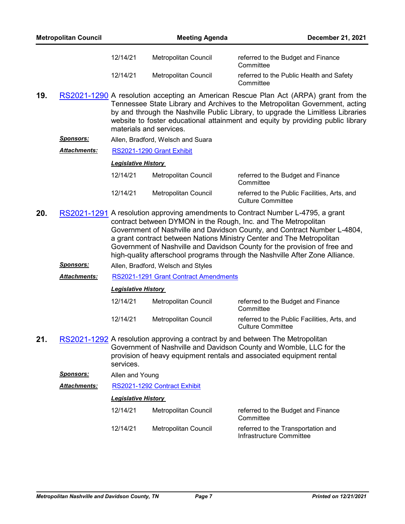| <b>Metropolitan Council</b> |                     | <b>Meeting Agenda</b>                                                                                                                                                                                                                                                                                                                                                                                                                                                |                                       | December 21, 2021                                                        |
|-----------------------------|---------------------|----------------------------------------------------------------------------------------------------------------------------------------------------------------------------------------------------------------------------------------------------------------------------------------------------------------------------------------------------------------------------------------------------------------------------------------------------------------------|---------------------------------------|--------------------------------------------------------------------------|
|                             |                     | 12/14/21                                                                                                                                                                                                                                                                                                                                                                                                                                                             | Metropolitan Council                  | referred to the Budget and Finance<br>Committee                          |
|                             |                     | 12/14/21                                                                                                                                                                                                                                                                                                                                                                                                                                                             | Metropolitan Council                  | referred to the Public Health and Safety<br>Committee                    |
| 19.                         |                     | RS2021-1290 A resolution accepting an American Rescue Plan Act (ARPA) grant from the<br>Tennessee State Library and Archives to the Metropolitan Government, acting<br>by and through the Nashville Public Library, to upgrade the Limitless Libraries<br>website to foster educational attainment and equity by providing public library<br>materials and services.                                                                                                 |                                       |                                                                          |
|                             | <u>Sponsors:</u>    |                                                                                                                                                                                                                                                                                                                                                                                                                                                                      | Allen, Bradford, Welsch and Suara     |                                                                          |
|                             | <b>Attachments:</b> |                                                                                                                                                                                                                                                                                                                                                                                                                                                                      | RS2021-1290 Grant Exhibit             |                                                                          |
|                             |                     | <b>Legislative History</b>                                                                                                                                                                                                                                                                                                                                                                                                                                           |                                       |                                                                          |
|                             |                     | 12/14/21                                                                                                                                                                                                                                                                                                                                                                                                                                                             | Metropolitan Council                  | referred to the Budget and Finance<br>Committee                          |
|                             |                     | 12/14/21                                                                                                                                                                                                                                                                                                                                                                                                                                                             | Metropolitan Council                  | referred to the Public Facilities, Arts, and<br><b>Culture Committee</b> |
| 20.                         |                     | RS2021-1291 A resolution approving amendments to Contract Number L-4795, a grant<br>contract between DYMON in the Rough, Inc. and The Metropolitan<br>Government of Nashville and Davidson County, and Contract Number L-4804,<br>a grant contract between Nations Ministry Center and The Metropolitan<br>Government of Nashville and Davidson County for the provision of free and<br>high-quality afterschool programs through the Nashville After Zone Alliance. |                                       |                                                                          |
|                             | <b>Sponsors:</b>    |                                                                                                                                                                                                                                                                                                                                                                                                                                                                      | Allen, Bradford, Welsch and Styles    |                                                                          |
|                             | <b>Attachments:</b> |                                                                                                                                                                                                                                                                                                                                                                                                                                                                      | RS2021-1291 Grant Contract Amendments |                                                                          |
|                             |                     | <b>Legislative History</b>                                                                                                                                                                                                                                                                                                                                                                                                                                           |                                       |                                                                          |
|                             |                     | 12/14/21                                                                                                                                                                                                                                                                                                                                                                                                                                                             | Metropolitan Council                  | referred to the Budget and Finance<br>Committee                          |
|                             |                     | 12/14/21                                                                                                                                                                                                                                                                                                                                                                                                                                                             | Metropolitan Council                  | referred to the Public Facilities, Arts, and<br><b>Culture Committee</b> |
| 21.                         |                     | RS2021-1292 A resolution approving a contract by and between The Metropolitan<br>Government of Nashville and Davidson County and Womble, LLC for the<br>provision of heavy equipment rentals and associated equipment rental<br>services.                                                                                                                                                                                                                            |                                       |                                                                          |
|                             | <u>Sponsors:</u>    | Allen and Young                                                                                                                                                                                                                                                                                                                                                                                                                                                      |                                       |                                                                          |
|                             | <b>Attachments:</b> |                                                                                                                                                                                                                                                                                                                                                                                                                                                                      | RS2021-1292 Contract Exhibit          |                                                                          |

| 12/14/21 | Metropolitan Council | referred to the Budget and Finance<br>Committee                |
|----------|----------------------|----------------------------------------------------------------|
| 12/14/21 | Metropolitan Council | referred to the Transportation and<br>Infrastructure Committee |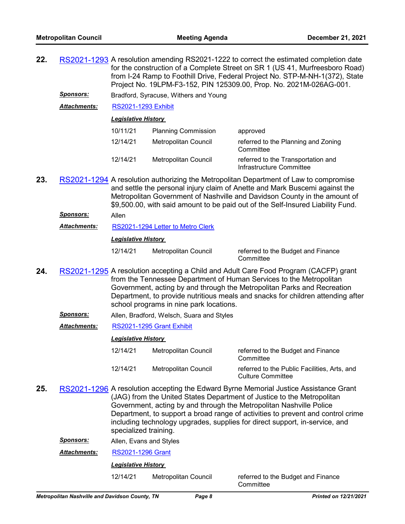- **22.** [RS2021-1293](http://nashville.legistar.com/gateway.aspx?m=l&id=/matter.aspx?key=13927) A resolution amending RS2021-1222 to correct the estimated completion date for the construction of a Complete Street on SR 1 (US 41, Murfreesboro Road) from I-24 Ramp to Foothill Drive, Federal Project No. STP-M-NH-1(372), State Project No. 19LPM-F3-152, PIN 125309.00, Prop. No. 2021M-026AG-001.
	- *Sponsors:* Bradford, Syracuse, Withers and Young

*Attachments:* [RS2021-1293 Exhibit](http://nashville.legistar.com/gateway.aspx?M=F&ID=776588dd-39e5-44f4-890d-edf032389471.pdf)

*Legislative History* 

| 10/11/21 | <b>Planning Commission</b> | approved                                                       |
|----------|----------------------------|----------------------------------------------------------------|
| 12/14/21 | Metropolitan Council       | referred to the Planning and Zoning<br>Committee               |
| 12/14/21 | Metropolitan Council       | referred to the Transportation and<br>Infrastructure Committee |

**23.** [RS2021-1294](http://nashville.legistar.com/gateway.aspx?m=l&id=/matter.aspx?key=13932) A resolution authorizing the Metropolitan Department of Law to compromise and settle the personal injury claim of Anette and Mark Buscemi against the Metropolitan Government of Nashville and Davidson County in the amount of \$9,500.00, with said amount to be paid out of the Self-Insured Liability Fund.

*Sponsors:* Allen

*Attachments:* [RS2021-1294 Letter to Metro Clerk](http://nashville.legistar.com/gateway.aspx?M=F&ID=73911eb6-0879-4a91-be6e-c75325482810.PDF)

#### *Legislative History*

12/14/21 Metropolitan Council referred to the Budget and Finance

**Committee** 

- **24.** [RS2021-1295](http://nashville.legistar.com/gateway.aspx?m=l&id=/matter.aspx?key=13922) A resolution accepting a Child and Adult Care Food Program (CACFP) grant from the Tennessee Department of Human Services to the Metropolitan Government, acting by and through the Metropolitan Parks and Recreation Department, to provide nutritious meals and snacks for children attending after school programs in nine park locations.
	- *Sponsors:* Allen, Bradford, Welsch, Suara and Styles

#### *Attachments:* [RS2021-1295 Grant Exhibit](http://nashville.legistar.com/gateway.aspx?M=F&ID=acdd626b-cbba-4820-ad5c-41a21bb4fa78.pdf)

#### *Legislative History*

| 12/14/21 | Metropolitan Council | referred to the Budget and Finance<br>Committee                          |
|----------|----------------------|--------------------------------------------------------------------------|
| 12/14/21 | Metropolitan Council | referred to the Public Facilities, Arts, and<br><b>Culture Committee</b> |

**25.** [RS2021-1296](http://nashville.legistar.com/gateway.aspx?m=l&id=/matter.aspx?key=13937) A resolution accepting the Edward Byrne Memorial Justice Assistance Grant (JAG) from the United States Department of Justice to the Metropolitan Government, acting by and through the Metropolitan Nashville Police Department, to support a broad range of activities to prevent and control crime including technology upgrades, supplies for direct support, in-service, and specialized training.

*Sponsors:* Allen, Evans and Styles

*Attachments:* [RS2021-1296 Grant](http://nashville.legistar.com/gateway.aspx?M=F&ID=ebc44679-31c1-4cd1-bb4d-9cdffb7daedf.pdf)

#### *Legislative History*

12/14/21 Metropolitan Council referred to the Budget and Finance

**Committee**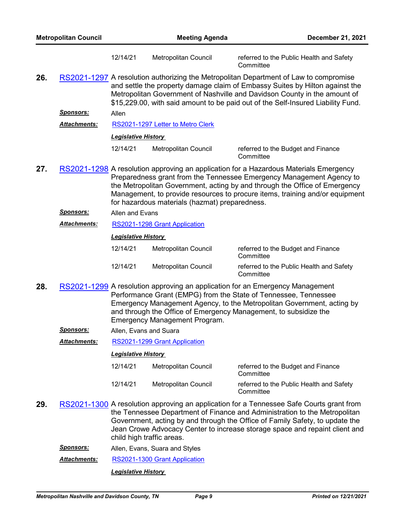|     | <b>Metropolitan Council</b> |                             | <b>Meeting Agenda</b>                          | December 21, 2021                                                                                                                                                                                                                                                                                                                      |  |
|-----|-----------------------------|-----------------------------|------------------------------------------------|----------------------------------------------------------------------------------------------------------------------------------------------------------------------------------------------------------------------------------------------------------------------------------------------------------------------------------------|--|
|     |                             | 12/14/21                    | Metropolitan Council                           | referred to the Public Health and Safety<br>Committee                                                                                                                                                                                                                                                                                  |  |
| 26. |                             |                             |                                                | RS2021-1297 A resolution authorizing the Metropolitan Department of Law to compromise<br>and settle the property damage claim of Embassy Suites by Hilton against the<br>Metropolitan Government of Nashville and Davidson County in the amount of<br>\$15,229.00, with said amount to be paid out of the Self-Insured Liability Fund. |  |
|     | <u>Sponsors:</u>            | Allen                       |                                                |                                                                                                                                                                                                                                                                                                                                        |  |
|     | <u> Attachments:</u>        |                             | RS2021-1297 Letter to Metro Clerk              |                                                                                                                                                                                                                                                                                                                                        |  |
|     |                             | <u> Legislative History</u> |                                                |                                                                                                                                                                                                                                                                                                                                        |  |
|     |                             | 12/14/21                    | Metropolitan Council                           | referred to the Budget and Finance<br>Committee                                                                                                                                                                                                                                                                                        |  |
| 27. |                             |                             | for hazardous materials (hazmat) preparedness. | RS2021-1298 A resolution approving an application for a Hazardous Materials Emergency<br>Preparedness grant from the Tennessee Emergency Management Agency to<br>the Metropolitan Government, acting by and through the Office of Emergency<br>Management, to provide resources to procure items, training and/or equipment            |  |
|     | <u>Sponsors:</u>            | Allen and Evans             |                                                |                                                                                                                                                                                                                                                                                                                                        |  |
|     | Attachments:                |                             | RS2021-1298 Grant Application                  |                                                                                                                                                                                                                                                                                                                                        |  |
|     |                             | <b>Legislative History</b>  |                                                |                                                                                                                                                                                                                                                                                                                                        |  |
|     |                             | 12/14/21                    | Metropolitan Council                           | referred to the Budget and Finance<br>Committee                                                                                                                                                                                                                                                                                        |  |
|     |                             | 12/14/21                    | Metropolitan Council                           | referred to the Public Health and Safety<br>Committee                                                                                                                                                                                                                                                                                  |  |
| 28. |                             |                             | <b>Emergency Management Program.</b>           | RS2021-1299 A resolution approving an application for an Emergency Management<br>Performance Grant (EMPG) from the State of Tennessee, Tennessee<br>Emergency Management Agency, to the Metropolitan Government, acting by<br>and through the Office of Emergency Management, to subsidize the                                         |  |
|     | <u>Sponsors:</u>            | Allen, Evans and Suara      |                                                |                                                                                                                                                                                                                                                                                                                                        |  |
|     | <b>Attachments:</b>         |                             | RS2021-1299 Grant Application                  |                                                                                                                                                                                                                                                                                                                                        |  |
|     |                             | <b>Legislative History</b>  |                                                |                                                                                                                                                                                                                                                                                                                                        |  |
|     |                             | 12/14/21                    | Metropolitan Council                           | referred to the Budget and Finance<br>Committee                                                                                                                                                                                                                                                                                        |  |
|     |                             | 12/14/21                    | Metropolitan Council                           | referred to the Public Health and Safety<br>Committee                                                                                                                                                                                                                                                                                  |  |
| 29. |                             | child high traffic areas.   |                                                | RS2021-1300 A resolution approving an application for a Tennessee Safe Courts grant from<br>the Tennessee Department of Finance and Administration to the Metropolitan<br>Government, acting by and through the Office of Family Safety, to update the<br>Jean Crowe Advocacy Center to increase storage space and repaint client and  |  |

- *Sponsors:* Allen, Evans, Suara and Styles
- *Attachments:* [RS2021-1300 Grant Application](http://nashville.legistar.com/gateway.aspx?M=F&ID=2f68ffed-8600-4f71-a5eb-c569f47d8ab9.pdf)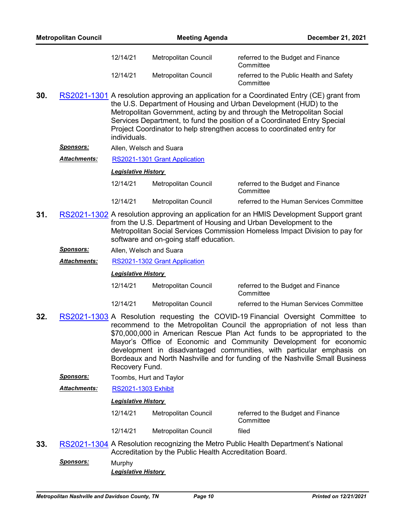|     | <b>Metropolitan Council</b> |                            | <b>Meeting Agenda</b>                  | December 21, 2021                                                                                                                                                                                                                                                                                                                                                                              |
|-----|-----------------------------|----------------------------|----------------------------------------|------------------------------------------------------------------------------------------------------------------------------------------------------------------------------------------------------------------------------------------------------------------------------------------------------------------------------------------------------------------------------------------------|
|     |                             | 12/14/21                   | Metropolitan Council                   | referred to the Budget and Finance<br>Committee                                                                                                                                                                                                                                                                                                                                                |
|     |                             | 12/14/21                   | Metropolitan Council                   | referred to the Public Health and Safety<br>Committee                                                                                                                                                                                                                                                                                                                                          |
| 30. |                             | individuals.               |                                        | RS2021-1301 A resolution approving an application for a Coordinated Entry (CE) grant from<br>the U.S. Department of Housing and Urban Development (HUD) to the<br>Metropolitan Government, acting by and through the Metropolitan Social<br>Services Department, to fund the position of a Coordinated Entry Special<br>Project Coordinator to help strengthen access to coordinated entry for |
|     | <b>Sponsors:</b>            | Allen, Welsch and Suara    |                                        |                                                                                                                                                                                                                                                                                                                                                                                                |
|     | <b>Attachments:</b>         |                            | RS2021-1301 Grant Application          |                                                                                                                                                                                                                                                                                                                                                                                                |
|     |                             | <b>Legislative History</b> |                                        |                                                                                                                                                                                                                                                                                                                                                                                                |
|     |                             | 12/14/21                   | Metropolitan Council                   | referred to the Budget and Finance<br>Committee                                                                                                                                                                                                                                                                                                                                                |
|     |                             | 12/14/21                   | Metropolitan Council                   | referred to the Human Services Committee                                                                                                                                                                                                                                                                                                                                                       |
| 31. |                             |                            | software and on-going staff education. | RS2021-1302 A resolution approving an application for an HMIS Development Support grant<br>from the U.S. Department of Housing and Urban Development to the<br>Metropolitan Social Services Commission Homeless Impact Division to pay for                                                                                                                                                     |
|     | <b>Sponsors:</b>            | Allen, Welsch and Suara    |                                        |                                                                                                                                                                                                                                                                                                                                                                                                |
|     | <b>Attachments:</b>         |                            | RS2021-1302 Grant Application          |                                                                                                                                                                                                                                                                                                                                                                                                |
|     |                             | <b>Legislative History</b> |                                        |                                                                                                                                                                                                                                                                                                                                                                                                |

| 12/14/21 | Metropolitan Council | referred to the Budget and Finance<br>Committee |
|----------|----------------------|-------------------------------------------------|
| 12/14/21 | Metropolitan Council | referred to the Human Services Committee        |

- **32.** [RS2021-1303](http://nashville.legistar.com/gateway.aspx?m=l&id=/matter.aspx?key=13958) A Resolution requesting the COVID-19 Financial Oversight Committee to recommend to the Metropolitan Council the appropriation of not less than \$70,000,000 in American Rescue Plan Act funds to be appropriated to the Mayor's Office of Economic and Community Development for economic development in disadvantaged communities, with particular emphasis on Bordeaux and North Nashville and for funding of the Nashville Small Business Recovery Fund.
	- *Sponsors:* Toombs, Hurt and Taylor
	- *Attachments:* [RS2021-1303 Exhibit](http://nashville.legistar.com/gateway.aspx?M=F&ID=4f582660-3e7f-4f6c-8d8b-a67f1b9e878c.docx)

- 12/14/21 Metropolitan Council referred to the Budget and Finance **Committee** 12/14/21 Metropolitan Council filed
- **33.** [RS2021-1304](http://nashville.legistar.com/gateway.aspx?m=l&id=/matter.aspx?key=13952) A Resolution recognizing the Metro Public Health Department's National Accreditation by the Public Health Accreditation Board.
	- *Sponsors:* Murphy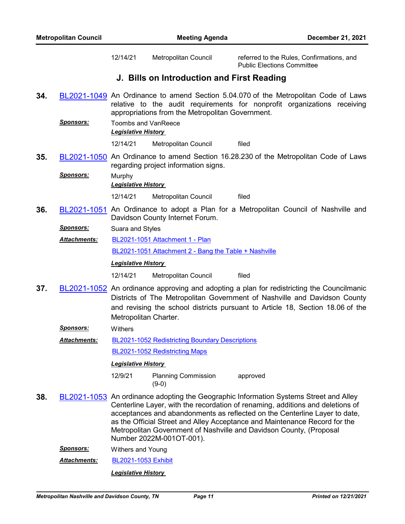12/14/21 Metropolitan Council referred to the Rules, Confirmations, and Public Elections Committee

## **J. Bills on Introduction and First Reading**

**34.** [BL2021-1049](http://nashville.legistar.com/gateway.aspx?m=l&id=/matter.aspx?key=13955) An Ordinance to amend Section 5.04.070 of the Metropolitan Code of Laws relative to the audit requirements for nonprofit organizations receiving appropriations from the Metropolitan Government.

*Sponsors:* Toombs and VanReece *Legislative History* 

12/14/21 Metropolitan Council filed

**35.** [BL2021-1050](http://nashville.legistar.com/gateway.aspx?m=l&id=/matter.aspx?key=13953) An Ordinance to amend Section 16.28.230 of the Metropolitan Code of Laws regarding project information signs.

*Sponsors:* Murphy *Legislative History* 

12/14/21 Metropolitan Council filed

**36.** [BL2021-1051](http://nashville.legistar.com/gateway.aspx?m=l&id=/matter.aspx?key=13956) An Ordinance to adopt a Plan for a Metropolitan Council of Nashville and Davidson County Internet Forum.

**Sponsors:** Suara and Styles

[BL2021-1051 Attachment 1 - Plan](http://nashville.legistar.com/gateway.aspx?M=F&ID=c9f0a7c0-887f-41b7-a10e-a6bf73325e29.docx) [BL2021-1051 Attachment 2 - Bang the Table + Nashville](http://nashville.legistar.com/gateway.aspx?M=F&ID=efea7a4c-eafc-44a7-a1bd-fc8ba31a648c.pdf) *Attachments:*

#### *Legislative History*

12/14/21 Metropolitan Council filed

**37.** [BL2021-1052](http://nashville.legistar.com/gateway.aspx?m=l&id=/matter.aspx?key=13939) An ordinance approving and adopting a plan for redistricting the Councilmanic Districts of The Metropolitan Government of Nashville and Davidson County and revising the school districts pursuant to Article 18, Section 18.06 of the Metropolitan Charter.

#### *Sponsors:* Withers

[BL2021-1052 Redistricting Boundary Descriptions](http://nashville.legistar.com/gateway.aspx?M=F&ID=ba2ccd39-6a66-4a05-9344-7088bc5a9342.pdf) [BL2021-1052 Redistricting Maps](http://nashville.legistar.com/gateway.aspx?M=F&ID=c8cad5e8-def5-4cf3-af57-de0ef2ad4f6d.pdf) *Attachments:*

#### *Legislative History*

- 12/9/21 Planning Commission approved (9-0)
- **38.** [BL2021-1053](http://nashville.legistar.com/gateway.aspx?m=l&id=/matter.aspx?key=13920) An ordinance adopting the Geographic Information Systems Street and Alley Centerline Layer, with the recordation of renaming, additions and deletions of acceptances and abandonments as reflected on the Centerline Layer to date, as the Official Street and Alley Acceptance and Maintenance Record for the Metropolitan Government of Nashville and Davidson County, (Proposal Number 2022M-001OT-001).
	- *Sponsors:* Withers and Young

*Attachments:* [BL2021-1053 Exhibit](http://nashville.legistar.com/gateway.aspx?M=F&ID=79446fd9-04f3-4b3e-99bd-7fab675d0534.pdf)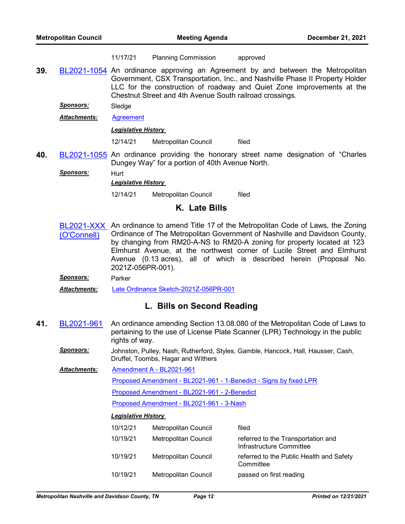11/17/21 Planning Commission approved

- **39.** [BL2021-1054](http://nashville.legistar.com/gateway.aspx?m=l&id=/matter.aspx?key=13954) An ordinance approving an Agreement by and between the Metropolitan Government, CSX Transportation, Inc., and Nashville Phase II Property Holder LLC for the construction of roadway and Quiet Zone improvements at the Chestnut Street and 4th Avenue South railroad crossings.
	- *Sponsors:* Sledge

*Attachments:* [Agreement](http://nashville.legistar.com/gateway.aspx?M=F&ID=664010e1-2c85-40a5-89b4-22169dfaabc3.pdf)

#### *Legislative History*

12/14/21 Metropolitan Council filed

**40.** [BL2021-1055](http://nashville.legistar.com/gateway.aspx?m=l&id=/matter.aspx?key=13957) An ordinance providing the honorary street name designation of "Charles Dungey Way" for a portion of 40th Avenue North.

*Sponsors:* Hurt

*Legislative History* 

12/14/21 Metropolitan Council filed

### **K. Late Bills**

[BL2021-XXX](http://nashville.legistar.com/gateway.aspx?m=l&id=/matter.aspx?key=13998)  (O'Connell) An ordinance to amend Title 17 of the Metropolitan Code of Laws, the Zoning Ordinance of The Metropolitan Government of Nashville and Davidson County, by changing from RM20-A-NS to RM20-A zoning for property located at 123 Elmhurst Avenue, at the northwest corner of Lucile Street and Elmhurst Avenue (0.13 acres), all of which is described herein (Proposal No. 2021Z-056PR-001).

*Sponsors:* Parker

*Attachments:* [Late Ordinance Sketch-2021Z-056PR-001](http://nashville.legistar.com/gateway.aspx?M=F&ID=8288ba86-ed81-4af1-85b6-7d75075c49a5.docx)

### **L. Bills on Second Reading**

- **41.** [BL2021-961](http://nashville.legistar.com/gateway.aspx?m=l&id=/matter.aspx?key=13719) An ordinance amending Section 13.08.080 of the Metropolitan Code of Laws to pertaining to the use of License Plate Scanner (LPR) Technology in the public rights of way.
	- *Sponsors:* Johnston, Pulley, Nash, Rutherford, Styles, Gamble, Hancock, Hall, Hausser, Cash, Druffel, Toombs, Hagar and Withers

[Amendment A - BL2021-961](http://nashville.legistar.com/gateway.aspx?M=F&ID=3563a2c6-55f3-4b0c-854a-8c23a60c9425.docx) [Proposed Amendment - BL2021-961 - 1-Benedict - Signs by fixed LPR](http://nashville.legistar.com/gateway.aspx?M=F&ID=8cdd33fb-a54a-42d0-b254-2884ed17e91a.docx) [Proposed Amendment - BL2021-961 - 2-Benedict](http://nashville.legistar.com/gateway.aspx?M=F&ID=3e75c18d-634a-4afb-9c68-1138ca6c0af2.docx) [Proposed Amendment - BL2021-961 - 3-Nash](http://nashville.legistar.com/gateway.aspx?M=F&ID=c777ce0d-b983-4613-8ae6-ac91acbdd248.docx) *Attachments: Legislative History*  10/12/21 Metropolitan Council filed 10/19/21 Metropolitan Council referred to the Transportation and Infrastructure Committee 10/19/21 Metropolitan Council referred to the Public Health and Safety **Committee** 

| 10/19/21 | Metropolitan Council | passed on first reading |
|----------|----------------------|-------------------------|
|          |                      |                         |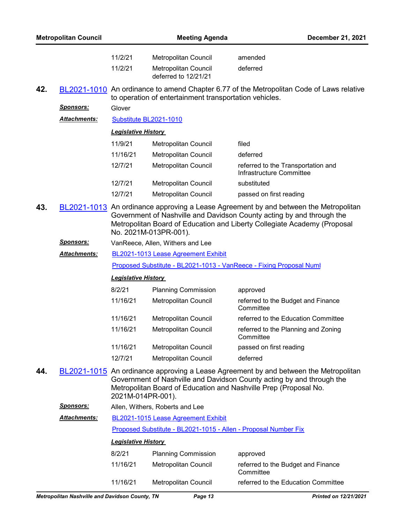|     | <b>Metropolitan Council</b> |                             | <b>Meeting Agenda</b>                                                | December 21, 2021                                                                                                                                                                                                                         |
|-----|-----------------------------|-----------------------------|----------------------------------------------------------------------|-------------------------------------------------------------------------------------------------------------------------------------------------------------------------------------------------------------------------------------------|
|     |                             | 11/2/21<br>11/2/21          | Metropolitan Council<br>Metropolitan Council<br>deferred to 12/21/21 | amended<br>deferred                                                                                                                                                                                                                       |
| 42. |                             |                             | to operation of entertainment transportation vehicles.               | BL2021-1010 An ordinance to amend Chapter 6.77 of the Metropolitan Code of Laws relative                                                                                                                                                  |
|     | <u>Sponsors:</u>            | Glover                      |                                                                      |                                                                                                                                                                                                                                           |
|     | <b>Attachments:</b>         | Substitute BL2021-1010      |                                                                      |                                                                                                                                                                                                                                           |
|     |                             | <b>Legislative History</b>  |                                                                      |                                                                                                                                                                                                                                           |
|     |                             | 11/9/21                     | Metropolitan Council                                                 | filed                                                                                                                                                                                                                                     |
|     |                             | 11/16/21                    | Metropolitan Council                                                 | deferred                                                                                                                                                                                                                                  |
|     |                             | 12/7/21                     | Metropolitan Council                                                 | referred to the Transportation and<br>Infrastructure Committee                                                                                                                                                                            |
|     |                             | 12/7/21                     | Metropolitan Council                                                 | substituted                                                                                                                                                                                                                               |
|     |                             | 12/7/21                     | Metropolitan Council                                                 | passed on first reading                                                                                                                                                                                                                   |
| 43. |                             |                             | No. 2021M-013PR-001).                                                | BL2021-1013 An ordinance approving a Lease Agreement by and between the Metropolitan<br>Government of Nashville and Davidson County acting by and through the<br>Metropolitan Board of Education and Liberty Collegiate Academy (Proposal |
|     | <u>Sponsors:</u>            |                             | VanReece, Allen, Withers and Lee                                     |                                                                                                                                                                                                                                           |
|     | Attachments:                |                             | BL2021-1013 Lease Agreement Exhibit                                  |                                                                                                                                                                                                                                           |
|     |                             |                             | Proposed Substitute - BL2021-1013 - VanReece - Fixing Proposal Numl  |                                                                                                                                                                                                                                           |
|     |                             | <u> Legislative History</u> |                                                                      |                                                                                                                                                                                                                                           |
|     |                             | 8/2/21                      | <b>Planning Commission</b>                                           | approved                                                                                                                                                                                                                                  |
|     |                             | 11/16/21                    | <b>Metropolitan Council</b>                                          | referred to the Budget and Finance<br>Committee                                                                                                                                                                                           |
|     |                             | 11/16/21                    | Metropolitan Council                                                 | referred to the Education Committee                                                                                                                                                                                                       |
|     |                             | 11/16/21                    | Metropolitan Council                                                 | referred to the Planning and Zoning<br>Committee                                                                                                                                                                                          |
|     |                             | 11/16/21                    | Metropolitan Council                                                 | passed on first reading                                                                                                                                                                                                                   |
|     |                             | 12/7/21                     | Metropolitan Council                                                 | deferred                                                                                                                                                                                                                                  |
| 44. |                             | 2021M-014PR-001).           |                                                                      | BL2021-1015 An ordinance approving a Lease Agreement by and between the Metropolitan<br>Government of Nashville and Davidson County acting by and through the<br>Metropolitan Board of Education and Nashville Prep (Proposal No.         |
|     | <u>Sponsors:</u>            |                             | Allen, Withers, Roberts and Lee                                      |                                                                                                                                                                                                                                           |
|     | <b>Attachments:</b>         |                             | BL2021-1015 Lease Agreement Exhibit                                  |                                                                                                                                                                                                                                           |
|     |                             |                             | Proposed Substitute - BL2021-1015 - Allen - Proposal Number Fix      |                                                                                                                                                                                                                                           |
|     |                             | <b>Legislative History</b>  |                                                                      |                                                                                                                                                                                                                                           |
|     |                             | 8/2/21                      | <b>Planning Commission</b>                                           | approved                                                                                                                                                                                                                                  |
|     |                             | 11/16/21                    | <b>Metropolitan Council</b>                                          | referred to the Budget and Finance<br>Committee                                                                                                                                                                                           |
|     |                             | 11/16/21                    | Metropolitan Council                                                 | referred to the Education Committee                                                                                                                                                                                                       |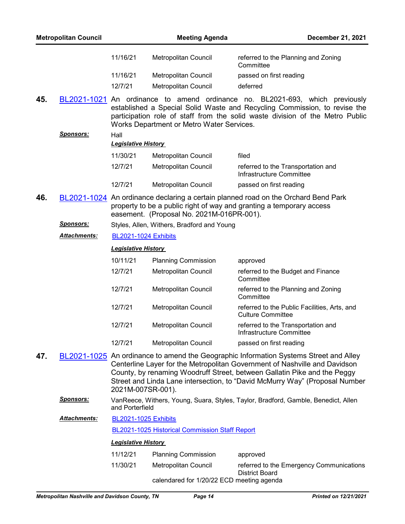|     | <b>Metropolitan Council</b> |                                    | <b>Meeting Agenda</b>                          | December 21, 2021                                                                                                                                                                                                                                                                                                              |
|-----|-----------------------------|------------------------------------|------------------------------------------------|--------------------------------------------------------------------------------------------------------------------------------------------------------------------------------------------------------------------------------------------------------------------------------------------------------------------------------|
|     |                             | 11/16/21                           | Metropolitan Council                           | referred to the Planning and Zoning<br>Committee                                                                                                                                                                                                                                                                               |
|     |                             | 11/16/21<br>12/7/21                | Metropolitan Council<br>Metropolitan Council   | passed on first reading<br>deferred                                                                                                                                                                                                                                                                                            |
| 45. |                             |                                    | Works Department or Metro Water Services.      | BL2021-1021 An ordinance to amend ordinance no. BL2021-693, which previously<br>established a Special Solid Waste and Recycling Commission, to revise the<br>participation role of staff from the solid waste division of the Metro Public                                                                                     |
|     | <u>Sponsors:</u>            | Hall<br><b>Legislative History</b> |                                                |                                                                                                                                                                                                                                                                                                                                |
|     |                             | 11/30/21                           | Metropolitan Council                           | filed                                                                                                                                                                                                                                                                                                                          |
|     |                             | 12/7/21                            | Metropolitan Council                           | referred to the Transportation and<br>Infrastructure Committee                                                                                                                                                                                                                                                                 |
|     |                             | 12/7/21                            | Metropolitan Council                           | passed on first reading                                                                                                                                                                                                                                                                                                        |
| 46. |                             |                                    | easement. (Proposal No. 2021M-016PR-001).      | BL2021-1024 An ordinance declaring a certain planned road on the Orchard Bend Park<br>property to be a public right of way and granting a temporary access                                                                                                                                                                     |
|     | <b>Sponsors:</b>            |                                    | Styles, Allen, Withers, Bradford and Young     |                                                                                                                                                                                                                                                                                                                                |
|     | Attachments:                | <b>BL2021-1024 Exhibits</b>        |                                                |                                                                                                                                                                                                                                                                                                                                |
|     |                             | <b>Legislative History</b>         |                                                |                                                                                                                                                                                                                                                                                                                                |
|     |                             | 10/11/21                           | <b>Planning Commission</b>                     | approved                                                                                                                                                                                                                                                                                                                       |
|     |                             | 12/7/21                            | Metropolitan Council                           | referred to the Budget and Finance<br>Committee                                                                                                                                                                                                                                                                                |
|     |                             | 12/7/21                            | Metropolitan Council                           | referred to the Planning and Zoning<br>Committee                                                                                                                                                                                                                                                                               |
|     |                             | 12/7/21                            | Metropolitan Council                           | referred to the Public Facilities, Arts, and<br><b>Culture Committee</b>                                                                                                                                                                                                                                                       |
|     |                             | 12/7/21                            | <b>Metropolitan Council</b>                    | referred to the Transportation and<br>Infrastructure Committee                                                                                                                                                                                                                                                                 |
|     |                             | 12/7/21                            | <b>Metropolitan Council</b>                    | passed on first reading                                                                                                                                                                                                                                                                                                        |
| 47. |                             | 2021M-007SR-001).                  |                                                | BL2021-1025 An ordinance to amend the Geographic Information Systems Street and Alley<br>Centerline Layer for the Metropolitan Government of Nashville and Davidson<br>County, by renaming Woodruff Street, between Gallatin Pike and the Peggy<br>Street and Linda Lane intersection, to "David McMurry Way" (Proposal Number |
|     | <u>Sponsors:</u>            | and Porterfield                    |                                                | VanReece, Withers, Young, Suara, Styles, Taylor, Bradford, Gamble, Benedict, Allen                                                                                                                                                                                                                                             |
|     | Attachments:                | <b>BL2021-1025 Exhibits</b>        |                                                |                                                                                                                                                                                                                                                                                                                                |
|     |                             |                                    | BL2021-1025 Historical Commission Staff Report |                                                                                                                                                                                                                                                                                                                                |
|     |                             | <b>Legislative History</b>         |                                                |                                                                                                                                                                                                                                                                                                                                |
|     |                             | 11/12/21                           | <b>Planning Commission</b>                     | approved                                                                                                                                                                                                                                                                                                                       |
|     |                             | 11/30/21                           | Metropolitan Council                           | referred to the Emergency Communications                                                                                                                                                                                                                                                                                       |

calendared for 1/20/22 ECD meeting agenda

District Board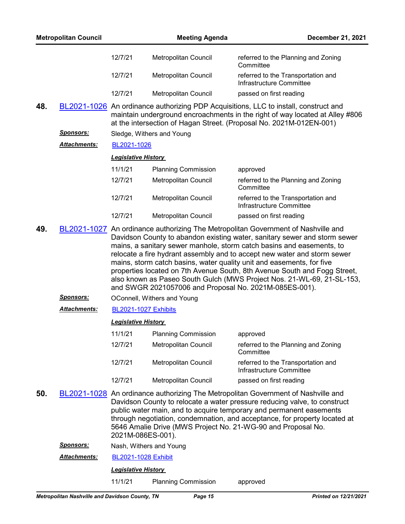|     | <b>Metropolitan Council</b> |                                                                                                                                                                                                                                                                                                                                                                                                          | <b>Meeting Agenda</b>                                  | <b>December 21, 2021</b>                                                                                                                                                                                                                                                                                                                                                                                                                                       |
|-----|-----------------------------|----------------------------------------------------------------------------------------------------------------------------------------------------------------------------------------------------------------------------------------------------------------------------------------------------------------------------------------------------------------------------------------------------------|--------------------------------------------------------|----------------------------------------------------------------------------------------------------------------------------------------------------------------------------------------------------------------------------------------------------------------------------------------------------------------------------------------------------------------------------------------------------------------------------------------------------------------|
|     |                             | 12/7/21                                                                                                                                                                                                                                                                                                                                                                                                  | Metropolitan Council                                   | referred to the Planning and Zoning<br>Committee                                                                                                                                                                                                                                                                                                                                                                                                               |
|     |                             | 12/7/21                                                                                                                                                                                                                                                                                                                                                                                                  | Metropolitan Council                                   | referred to the Transportation and<br>Infrastructure Committee                                                                                                                                                                                                                                                                                                                                                                                                 |
|     |                             | 12/7/21                                                                                                                                                                                                                                                                                                                                                                                                  | Metropolitan Council                                   | passed on first reading                                                                                                                                                                                                                                                                                                                                                                                                                                        |
| 48. |                             |                                                                                                                                                                                                                                                                                                                                                                                                          |                                                        | BL2021-1026 An ordinance authorizing PDP Acquisitions, LLC to install, construct and<br>maintain underground encroachments in the right of way located at Alley #806<br>at the intersection of Hagan Street. (Proposal No. 2021M-012EN-001)                                                                                                                                                                                                                    |
|     | <u>Sponsors:</u>            |                                                                                                                                                                                                                                                                                                                                                                                                          | Sledge, Withers and Young                              |                                                                                                                                                                                                                                                                                                                                                                                                                                                                |
|     | <b>Attachments:</b>         | BL2021-1026                                                                                                                                                                                                                                                                                                                                                                                              |                                                        |                                                                                                                                                                                                                                                                                                                                                                                                                                                                |
|     |                             | <b>Legislative History</b>                                                                                                                                                                                                                                                                                                                                                                               |                                                        |                                                                                                                                                                                                                                                                                                                                                                                                                                                                |
|     |                             | 11/1/21                                                                                                                                                                                                                                                                                                                                                                                                  | <b>Planning Commission</b>                             | approved                                                                                                                                                                                                                                                                                                                                                                                                                                                       |
|     |                             | 12/7/21                                                                                                                                                                                                                                                                                                                                                                                                  | Metropolitan Council                                   | referred to the Planning and Zoning<br>Committee                                                                                                                                                                                                                                                                                                                                                                                                               |
|     |                             | 12/7/21                                                                                                                                                                                                                                                                                                                                                                                                  | Metropolitan Council                                   | referred to the Transportation and<br>Infrastructure Committee                                                                                                                                                                                                                                                                                                                                                                                                 |
|     |                             | 12/7/21                                                                                                                                                                                                                                                                                                                                                                                                  | <b>Metropolitan Council</b>                            | passed on first reading                                                                                                                                                                                                                                                                                                                                                                                                                                        |
|     |                             |                                                                                                                                                                                                                                                                                                                                                                                                          | and SWGR 2021057006 and Proposal No. 2021M-085ES-001). | Davidson County to abandon existing water, sanitary sewer and storm sewer<br>mains, a sanitary sewer manhole, storm catch basins and easements, to<br>relocate a fire hydrant assembly and to accept new water and storm sewer<br>mains, storm catch basins, water quality unit and easements, for five<br>properties located on 7th Avenue South, 8th Avenue South and Fogg Street,<br>also known as Paseo South Gulch (MWS Project Nos. 21-WL-69, 21-SL-153, |
|     | <u>Sponsors:</u>            |                                                                                                                                                                                                                                                                                                                                                                                                          | OConnell, Withers and Young                            |                                                                                                                                                                                                                                                                                                                                                                                                                                                                |
|     | <b>Attachments:</b>         | <b>BL2021-1027 Exhibits</b>                                                                                                                                                                                                                                                                                                                                                                              |                                                        |                                                                                                                                                                                                                                                                                                                                                                                                                                                                |
|     |                             | <b>Legislative History</b>                                                                                                                                                                                                                                                                                                                                                                               |                                                        |                                                                                                                                                                                                                                                                                                                                                                                                                                                                |
|     |                             | 11/1/21                                                                                                                                                                                                                                                                                                                                                                                                  | <b>Planning Commission</b>                             | approved                                                                                                                                                                                                                                                                                                                                                                                                                                                       |
|     |                             | 12/7/21                                                                                                                                                                                                                                                                                                                                                                                                  | Metropolitan Council                                   | referred to the Planning and Zoning<br>Committee                                                                                                                                                                                                                                                                                                                                                                                                               |
|     |                             | 12/7/21                                                                                                                                                                                                                                                                                                                                                                                                  | Metropolitan Council                                   | referred to the Transportation and<br>Infrastructure Committee                                                                                                                                                                                                                                                                                                                                                                                                 |
|     |                             | 12/7/21                                                                                                                                                                                                                                                                                                                                                                                                  | Metropolitan Council                                   | passed on first reading                                                                                                                                                                                                                                                                                                                                                                                                                                        |
| 50. |                             | BL2021-1028 An ordinance authorizing The Metropolitan Government of Nashville and<br>Davidson County to relocate a water pressure reducing valve, to construct<br>public water main, and to acquire temporary and permanent easements<br>through negotiation, condemnation, and acceptance, for property located at<br>5646 Amalie Drive (MWS Project No. 21-WG-90 and Proposal No.<br>2021M-086ES-001). |                                                        |                                                                                                                                                                                                                                                                                                                                                                                                                                                                |
|     | <b>Sponsors:</b>            |                                                                                                                                                                                                                                                                                                                                                                                                          | Nash, Withers and Young                                |                                                                                                                                                                                                                                                                                                                                                                                                                                                                |
|     | Attachments:                | <b>BL2021-1028 Exhibit</b>                                                                                                                                                                                                                                                                                                                                                                               |                                                        |                                                                                                                                                                                                                                                                                                                                                                                                                                                                |

11/1/21 Planning Commission approved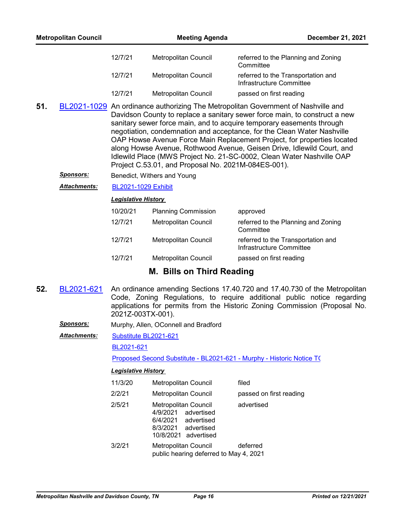| 12/7/21 | Metropolitan Council        | referred to the Planning and Zoning<br>Committee               |
|---------|-----------------------------|----------------------------------------------------------------|
| 12/7/21 | Metropolitan Council        | referred to the Transportation and<br>Infrastructure Committee |
| 12/7/21 | <b>Metropolitan Council</b> | passed on first reading                                        |

**51.** [BL2021-1029](http://nashville.legistar.com/gateway.aspx?m=l&id=/matter.aspx?key=13886) An ordinance authorizing The Metropolitan Government of Nashville and Davidson County to replace a sanitary sewer force main, to construct a new sanitary sewer force main, and to acquire temporary easements through negotiation, condemnation and acceptance, for the Clean Water Nashville OAP Howse Avenue Force Main Replacement Project, for properties located along Howse Avenue, Rothwood Avenue, Geisen Drive, Idlewild Court, and Idlewild Place (MWS Project No. 21-SC-0002, Clean Water Nashville OAP Project C.53.01, and Proposal No. 2021M-084ES-001).

**Sponsors:** Benedict, Withers and Young

*Attachments:* [BL2021-1029 Exhibit](http://nashville.legistar.com/gateway.aspx?M=F&ID=132b8f75-d15a-410e-b0a2-0e728a1a8a0d.pdf)

#### *Legislative History*

| 10/20/21 | <b>Planning Commission</b> | approved                                                       |
|----------|----------------------------|----------------------------------------------------------------|
| 12/7/21  | Metropolitan Council       | referred to the Planning and Zoning<br>Committee               |
| 12/7/21  | Metropolitan Council       | referred to the Transportation and<br>Infrastructure Committee |
| 12/7/21  | Metropolitan Council       | passed on first reading                                        |

### **M. Bills on Third Reading**

**52.** [BL2021-621](http://nashville.legistar.com/gateway.aspx?m=l&id=/matter.aspx?key=1884) An ordinance amending Sections 17.40.720 and 17.40.730 of the Metropolitan Code, Zoning Regulations, to require additional public notice regarding applications for permits from the Historic Zoning Commission (Proposal No. 2021Z-003TX-001).

*Sponsors:* Murphy, Allen, OConnell and Bradford

[Substitute BL2021-621](http://nashville.legistar.com/gateway.aspx?M=F&ID=f42f4325-063e-4de1-88ba-0dc1d25885dc.pdf) *Attachments:*

[BL2021-621](http://nashville.legistar.com/gateway.aspx?M=F&ID=cabdbfec-c279-4032-aba7-2f91afe36156.pdf)

[Proposed Second Substitute - BL2021-621 - Murphy - Historic Notice TC](http://nashville.legistar.com/gateway.aspx?M=F&ID=ebaf2cbb-16ac-456e-9f61-5ba81243a2fb.docx)

| 11/3/20 | <b>Metropolitan Council</b>                                                                                                 | filed                   |
|---------|-----------------------------------------------------------------------------------------------------------------------------|-------------------------|
| 2/2/21  | <b>Metropolitan Council</b>                                                                                                 | passed on first reading |
| 2/5/21  | <b>Metropolitan Council</b><br>4/9/2021<br>advertised<br>6/4/2021 advertised<br>8/3/2021 advertised<br>10/8/2021 advertised | advertised              |
| 3/2/21  | <b>Metropolitan Council</b><br>public hearing deferred to May 4, 2021                                                       | deferred                |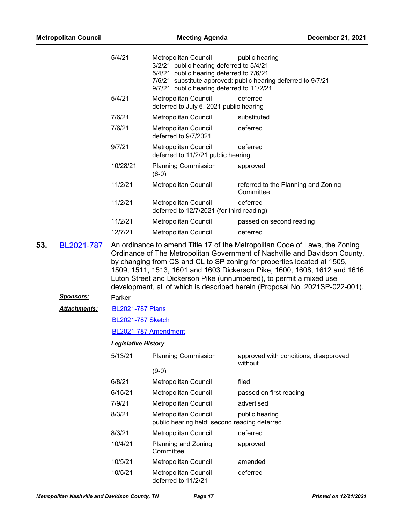| <b>Metropolitan Council</b> |                     |                                                                                                                                                                                                                                                        | <b>Meeting Agenda</b>                                                | December 21, 2021                                                                                                                                                                                                                                                                                                                                                                                                                                                        |
|-----------------------------|---------------------|--------------------------------------------------------------------------------------------------------------------------------------------------------------------------------------------------------------------------------------------------------|----------------------------------------------------------------------|--------------------------------------------------------------------------------------------------------------------------------------------------------------------------------------------------------------------------------------------------------------------------------------------------------------------------------------------------------------------------------------------------------------------------------------------------------------------------|
|                             |                     | 5/4/21<br>Metropolitan Council<br>public hearing<br>3/2/21 public hearing deferred to 5/4/21<br>5/4/21 public hearing deferred to 7/6/21<br>7/6/21 substitute approved; public hearing deferred to 9/7/21<br>9/7/21 public hearing deferred to 11/2/21 |                                                                      |                                                                                                                                                                                                                                                                                                                                                                                                                                                                          |
|                             |                     | 5/4/21                                                                                                                                                                                                                                                 | Metropolitan Council<br>deferred to July 6, 2021 public hearing      | deferred                                                                                                                                                                                                                                                                                                                                                                                                                                                                 |
|                             |                     | 7/6/21                                                                                                                                                                                                                                                 | Metropolitan Council                                                 | substituted                                                                                                                                                                                                                                                                                                                                                                                                                                                              |
|                             |                     | 7/6/21                                                                                                                                                                                                                                                 | Metropolitan Council<br>deferred to 9/7/2021                         | deferred                                                                                                                                                                                                                                                                                                                                                                                                                                                                 |
|                             |                     | 9/7/21                                                                                                                                                                                                                                                 | Metropolitan Council<br>deferred to 11/2/21 public hearing           | deferred                                                                                                                                                                                                                                                                                                                                                                                                                                                                 |
|                             |                     | 10/28/21                                                                                                                                                                                                                                               | <b>Planning Commission</b><br>$(6-0)$                                | approved                                                                                                                                                                                                                                                                                                                                                                                                                                                                 |
|                             |                     | 11/2/21                                                                                                                                                                                                                                                | Metropolitan Council                                                 | referred to the Planning and Zoning<br>Committee                                                                                                                                                                                                                                                                                                                                                                                                                         |
|                             |                     | 11/2/21                                                                                                                                                                                                                                                | Metropolitan Council<br>deferred to 12/7/2021 (for third reading)    | deferred                                                                                                                                                                                                                                                                                                                                                                                                                                                                 |
|                             |                     | 11/2/21                                                                                                                                                                                                                                                | Metropolitan Council                                                 | passed on second reading                                                                                                                                                                                                                                                                                                                                                                                                                                                 |
|                             |                     | 12/7/21                                                                                                                                                                                                                                                | Metropolitan Council                                                 | deferred                                                                                                                                                                                                                                                                                                                                                                                                                                                                 |
| 53.                         | BL2021-787          |                                                                                                                                                                                                                                                        |                                                                      | An ordinance to amend Title 17 of the Metropolitan Code of Laws, the Zoning<br>Ordinance of The Metropolitan Government of Nashville and Davidson County,<br>by changing from CS and CL to SP zoning for properties located at 1505,<br>1509, 1511, 1513, 1601 and 1603 Dickerson Pike, 1600, 1608, 1612 and 1616<br>Luton Street and Dickerson Pike (unnumbered), to permit a mixed use<br>development, all of which is described herein (Proposal No. 2021SP-022-001). |
|                             | <u>Sponsors:</u>    | Parker                                                                                                                                                                                                                                                 |                                                                      |                                                                                                                                                                                                                                                                                                                                                                                                                                                                          |
|                             | <b>Attachments:</b> | <b>BL2021-787 Plans</b>                                                                                                                                                                                                                                |                                                                      |                                                                                                                                                                                                                                                                                                                                                                                                                                                                          |
|                             |                     | <b>BL2021-787 Sketch</b>                                                                                                                                                                                                                               |                                                                      |                                                                                                                                                                                                                                                                                                                                                                                                                                                                          |
|                             |                     | BL2021-787 Amendment                                                                                                                                                                                                                                   |                                                                      |                                                                                                                                                                                                                                                                                                                                                                                                                                                                          |
|                             |                     | <b>Legislative History</b>                                                                                                                                                                                                                             |                                                                      |                                                                                                                                                                                                                                                                                                                                                                                                                                                                          |
|                             |                     | 5/13/21                                                                                                                                                                                                                                                | <b>Planning Commission</b>                                           | approved with conditions, disapproved<br>without                                                                                                                                                                                                                                                                                                                                                                                                                         |
|                             |                     |                                                                                                                                                                                                                                                        | $(9-0)$                                                              |                                                                                                                                                                                                                                                                                                                                                                                                                                                                          |
|                             |                     | 6/8/21                                                                                                                                                                                                                                                 | Metropolitan Council                                                 | filed                                                                                                                                                                                                                                                                                                                                                                                                                                                                    |
|                             |                     | 6/15/21                                                                                                                                                                                                                                                | Metropolitan Council                                                 | passed on first reading                                                                                                                                                                                                                                                                                                                                                                                                                                                  |
|                             |                     | 7/9/21                                                                                                                                                                                                                                                 | Metropolitan Council                                                 | advertised                                                                                                                                                                                                                                                                                                                                                                                                                                                               |
|                             |                     | 8/3/21                                                                                                                                                                                                                                                 | Metropolitan Council<br>public hearing held; second reading deferred | public hearing                                                                                                                                                                                                                                                                                                                                                                                                                                                           |
|                             |                     | 8/3/21                                                                                                                                                                                                                                                 | Metropolitan Council                                                 | deferred                                                                                                                                                                                                                                                                                                                                                                                                                                                                 |
|                             |                     | 10/4/21                                                                                                                                                                                                                                                | Planning and Zoning<br>Committee                                     | approved                                                                                                                                                                                                                                                                                                                                                                                                                                                                 |
|                             |                     | 10/5/21                                                                                                                                                                                                                                                | Metropolitan Council                                                 | amended                                                                                                                                                                                                                                                                                                                                                                                                                                                                  |
|                             |                     | 10/5/21                                                                                                                                                                                                                                                | Metropolitan Council<br>deferred to 11/2/21                          | deferred                                                                                                                                                                                                                                                                                                                                                                                                                                                                 |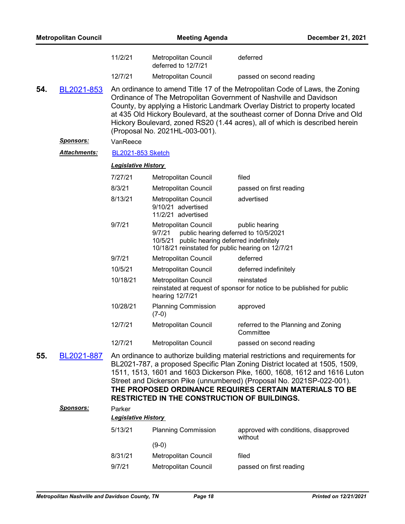| <b>Metropolitan Council</b> |                      |                            | <b>December 21, 2021</b>                                                                                                            |                                                                                                                                                                                                                                                                                                                                                                                                   |
|-----------------------------|----------------------|----------------------------|-------------------------------------------------------------------------------------------------------------------------------------|---------------------------------------------------------------------------------------------------------------------------------------------------------------------------------------------------------------------------------------------------------------------------------------------------------------------------------------------------------------------------------------------------|
|                             |                      | 11/2/21                    | <b>Metropolitan Council</b><br>deferred to 12/7/21                                                                                  | deferred                                                                                                                                                                                                                                                                                                                                                                                          |
|                             |                      | 12/7/21                    | <b>Metropolitan Council</b>                                                                                                         | passed on second reading                                                                                                                                                                                                                                                                                                                                                                          |
| 54.                         | BL2021-853           |                            | (Proposal No. 2021HL-003-001).                                                                                                      | An ordinance to amend Title 17 of the Metropolitan Code of Laws, the Zoning<br>Ordinance of The Metropolitan Government of Nashville and Davidson<br>County, by applying a Historic Landmark Overlay District to property located<br>at 435 Old Hickory Boulevard, at the southeast corner of Donna Drive and Old<br>Hickory Boulevard, zoned RS20 (1.44 acres), all of which is described herein |
|                             | <u>Sponsors:</u>     | VanReece                   |                                                                                                                                     |                                                                                                                                                                                                                                                                                                                                                                                                   |
|                             | <u> Attachments:</u> | <b>BL2021-853 Sketch</b>   |                                                                                                                                     |                                                                                                                                                                                                                                                                                                                                                                                                   |
|                             |                      | <b>Legislative History</b> |                                                                                                                                     |                                                                                                                                                                                                                                                                                                                                                                                                   |
|                             |                      | 7/27/21                    | Metropolitan Council                                                                                                                | filed                                                                                                                                                                                                                                                                                                                                                                                             |
|                             |                      | 8/3/21                     | Metropolitan Council                                                                                                                | passed on first reading                                                                                                                                                                                                                                                                                                                                                                           |
|                             |                      | 8/13/21                    | Metropolitan Council<br>9/10/21 advertised<br>11/2/21 advertised                                                                    | advertised                                                                                                                                                                                                                                                                                                                                                                                        |
|                             |                      | 9/7/21                     | Metropolitan Council<br>9/7/21<br>10/5/21 public hearing deferred indefinitely<br>10/18/21 reinstated for public hearing on 12/7/21 | public hearing<br>public hearing deferred to 10/5/2021                                                                                                                                                                                                                                                                                                                                            |
|                             |                      | 9/7/21                     | Metropolitan Council                                                                                                                | deferred                                                                                                                                                                                                                                                                                                                                                                                          |
|                             |                      | 10/5/21                    | Metropolitan Council                                                                                                                | deferred indefinitely                                                                                                                                                                                                                                                                                                                                                                             |
|                             |                      | 10/18/21                   | Metropolitan Council<br>hearing 12/7/21                                                                                             | reinstated<br>reinstated at request of sponsor for notice to be published for public                                                                                                                                                                                                                                                                                                              |
|                             |                      | 10/28/21                   | <b>Planning Commission</b><br>$(7-0)$                                                                                               | approved                                                                                                                                                                                                                                                                                                                                                                                          |
|                             |                      | 12/7/21                    | Metropolitan Council                                                                                                                | referred to the Planning and Zoning<br>Committee                                                                                                                                                                                                                                                                                                                                                  |
|                             |                      | 12/7/21                    | <b>Metropolitan Council</b>                                                                                                         | passed on second reading                                                                                                                                                                                                                                                                                                                                                                          |
| 55.                         | BL2021-887           |                            | <b>RESTRICTED IN THE CONSTRUCTION OF BUILDINGS.</b>                                                                                 | An ordinance to authorize building material restrictions and requirements for<br>BL2021-787, a proposed Specific Plan Zoning District located at 1505, 1509,<br>1511, 1513, 1601 and 1603 Dickerson Pike, 1600, 1608, 1612 and 1616 Luton<br>Street and Dickerson Pike (unnumbered) (Proposal No. 2021SP-022-001).<br>THE PROPOSED ORDINANCE REQUIRES CERTAIN MATERIALS TO BE                     |
|                             | <u>Sponsors:</u>     | Parker                     |                                                                                                                                     |                                                                                                                                                                                                                                                                                                                                                                                                   |
|                             |                      | <b>Legislative History</b> |                                                                                                                                     |                                                                                                                                                                                                                                                                                                                                                                                                   |
|                             |                      | 5/13/21                    | <b>Planning Commission</b>                                                                                                          | approved with conditions, disapproved<br>without                                                                                                                                                                                                                                                                                                                                                  |
|                             |                      | 8/31/21                    | $(9-0)$                                                                                                                             | filed                                                                                                                                                                                                                                                                                                                                                                                             |
|                             |                      | 9/7/21                     | Metropolitan Council                                                                                                                |                                                                                                                                                                                                                                                                                                                                                                                                   |
|                             |                      |                            | Metropolitan Council                                                                                                                | passed on first reading                                                                                                                                                                                                                                                                                                                                                                           |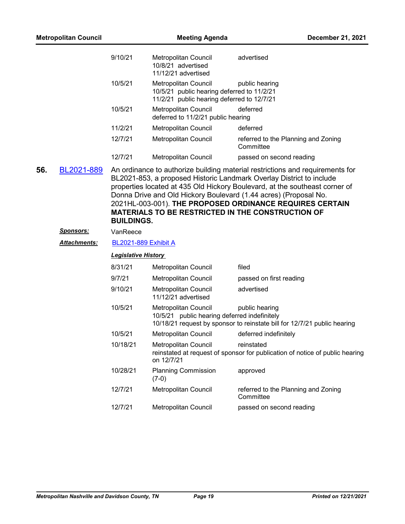| <b>Metropolitan Council</b> |                  | <b>Meeting Agenda</b>       |                                                                                                                  | December 21, 2021                                                                                                                                                                                                                                                                                                                                                                                                                |  |  |
|-----------------------------|------------------|-----------------------------|------------------------------------------------------------------------------------------------------------------|----------------------------------------------------------------------------------------------------------------------------------------------------------------------------------------------------------------------------------------------------------------------------------------------------------------------------------------------------------------------------------------------------------------------------------|--|--|
|                             |                  | 9/10/21                     | Metropolitan Council<br>10/8/21 advertised<br>11/12/21 advertised                                                | advertised                                                                                                                                                                                                                                                                                                                                                                                                                       |  |  |
|                             |                  | 10/5/21                     | Metropolitan Council<br>10/5/21 public hearing deferred to 11/2/21<br>11/2/21 public hearing deferred to 12/7/21 | public hearing                                                                                                                                                                                                                                                                                                                                                                                                                   |  |  |
|                             |                  | 10/5/21                     | Metropolitan Council<br>deferred to 11/2/21 public hearing                                                       | deferred                                                                                                                                                                                                                                                                                                                                                                                                                         |  |  |
|                             |                  | 11/2/21                     | Metropolitan Council                                                                                             | deferred                                                                                                                                                                                                                                                                                                                                                                                                                         |  |  |
|                             |                  | 12/7/21                     | Metropolitan Council                                                                                             | referred to the Planning and Zoning<br>Committee                                                                                                                                                                                                                                                                                                                                                                                 |  |  |
|                             |                  | 12/7/21                     | Metropolitan Council                                                                                             | passed on second reading                                                                                                                                                                                                                                                                                                                                                                                                         |  |  |
| 56.                         | BL2021-889       | <b>BUILDINGS.</b>           |                                                                                                                  | An ordinance to authorize building material restrictions and requirements for<br>BL2021-853, a proposed Historic Landmark Overlay District to include<br>properties located at 435 Old Hickory Boulevard, at the southeast corner of<br>Donna Drive and Old Hickory Boulevard (1.44 acres) (Proposal No.<br>2021HL-003-001). THE PROPOSED ORDINANCE REQUIRES CERTAIN<br><b>MATERIALS TO BE RESTRICTED IN THE CONSTRUCTION OF</b> |  |  |
|                             | <u>Sponsors:</u> | VanReece                    |                                                                                                                  |                                                                                                                                                                                                                                                                                                                                                                                                                                  |  |  |
|                             | Attachments:     | <b>BL2021-889 Exhibit A</b> |                                                                                                                  |                                                                                                                                                                                                                                                                                                                                                                                                                                  |  |  |
|                             |                  | <b>Legislative History</b>  |                                                                                                                  |                                                                                                                                                                                                                                                                                                                                                                                                                                  |  |  |
|                             |                  | 8/31/21                     | Metropolitan Council                                                                                             | filed                                                                                                                                                                                                                                                                                                                                                                                                                            |  |  |
|                             |                  | 9/7/21                      | <b>Metropolitan Council</b>                                                                                      | passed on first reading                                                                                                                                                                                                                                                                                                                                                                                                          |  |  |
|                             |                  | 9/10/21                     | Metropolitan Council<br>11/12/21 advertised                                                                      | advertised                                                                                                                                                                                                                                                                                                                                                                                                                       |  |  |
|                             |                  | 10/5/21                     | Metropolitan Council<br>10/5/21 public hearing deferred indefinitely                                             | public hearing<br>10/18/21 request by sponsor to reinstate bill for 12/7/21 public hearing                                                                                                                                                                                                                                                                                                                                       |  |  |
|                             |                  | 10/5/21                     | Metropolitan Council                                                                                             | deferred indefinitely                                                                                                                                                                                                                                                                                                                                                                                                            |  |  |
|                             |                  | 10/18/21                    | Metropolitan Council<br>on 12/7/21                                                                               | reinstated<br>reinstated at request of sponsor for publication of notice of public hearing                                                                                                                                                                                                                                                                                                                                       |  |  |
|                             |                  | 10/28/21                    | <b>Planning Commission</b><br>$(7-0)$                                                                            | approved                                                                                                                                                                                                                                                                                                                                                                                                                         |  |  |
|                             |                  | 12/7/21                     | Metropolitan Council                                                                                             | referred to the Planning and Zoning<br>Committee                                                                                                                                                                                                                                                                                                                                                                                 |  |  |
|                             |                  | 12/7/21                     | Metropolitan Council                                                                                             | passed on second reading                                                                                                                                                                                                                                                                                                                                                                                                         |  |  |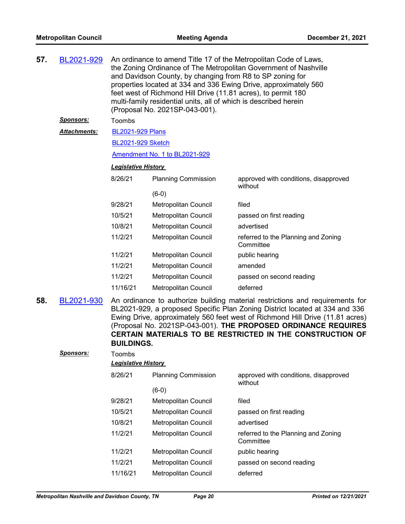| 57. | BL2021-929          | An ordinance to amend Title 17 of the Metropolitan Code of Laws,<br>the Zoning Ordinance of The Metropolitan Government of Nashville<br>and Davidson County, by changing from R8 to SP zoning for<br>properties located at 334 and 336 Ewing Drive, approximately 560<br>feet west of Richmond Hill Drive (11.81 acres), to permit 180<br>multi-family residential units, all of which is described herein<br>(Proposal No. 2021SP-043-001). |                               |                                                  |  |  |
|-----|---------------------|----------------------------------------------------------------------------------------------------------------------------------------------------------------------------------------------------------------------------------------------------------------------------------------------------------------------------------------------------------------------------------------------------------------------------------------------|-------------------------------|--------------------------------------------------|--|--|
|     | <u> Sponsors:</u>   | Toombs                                                                                                                                                                                                                                                                                                                                                                                                                                       |                               |                                                  |  |  |
|     | <b>Attachments:</b> | <b>BL2021-929 Plans</b>                                                                                                                                                                                                                                                                                                                                                                                                                      |                               |                                                  |  |  |
|     |                     | <b>BL2021-929 Sketch</b>                                                                                                                                                                                                                                                                                                                                                                                                                     |                               |                                                  |  |  |
|     |                     |                                                                                                                                                                                                                                                                                                                                                                                                                                              | Amendment No. 1 to BL2021-929 |                                                  |  |  |
|     |                     | <b>Legislative History</b>                                                                                                                                                                                                                                                                                                                                                                                                                   |                               |                                                  |  |  |
|     |                     | 8/26/21                                                                                                                                                                                                                                                                                                                                                                                                                                      | <b>Planning Commission</b>    | approved with conditions, disapproved<br>without |  |  |
|     |                     |                                                                                                                                                                                                                                                                                                                                                                                                                                              | $(6-0)$                       |                                                  |  |  |
|     |                     | 9/28/21                                                                                                                                                                                                                                                                                                                                                                                                                                      | <b>Metropolitan Council</b>   | filed                                            |  |  |
|     |                     | 10/5/21                                                                                                                                                                                                                                                                                                                                                                                                                                      | Metropolitan Council          | passed on first reading                          |  |  |
|     |                     | 10/8/21                                                                                                                                                                                                                                                                                                                                                                                                                                      | Metropolitan Council          | advertised                                       |  |  |
|     |                     | 11/2/21                                                                                                                                                                                                                                                                                                                                                                                                                                      | Metropolitan Council          | referred to the Planning and Zoning<br>Committee |  |  |
|     |                     | 11/2/21                                                                                                                                                                                                                                                                                                                                                                                                                                      | Metropolitan Council          | public hearing                                   |  |  |
|     |                     | 11/2/21                                                                                                                                                                                                                                                                                                                                                                                                                                      | Metropolitan Council          | amended                                          |  |  |
|     |                     | 11/2/21                                                                                                                                                                                                                                                                                                                                                                                                                                      | Metropolitan Council          | passed on second reading                         |  |  |
|     |                     | 11/16/21                                                                                                                                                                                                                                                                                                                                                                                                                                     | Metropolitan Council          | deferred                                         |  |  |
| 58. | BL2021-930          | An ordinance to authorize building material restrictions and requirements for<br>BL2021-929, a proposed Specific Plan Zoning District located at 334 and 336<br>Ewing Drive, approximately 560 feet west of Richmond Hill Drive (11.81 acres)<br>(Proposal No. 2021SP-043-001). THE PROPOSED ORDINANCE REQUIRES<br>CERTAIN MATERIALS TO BE RESTRICTED IN THE CONSTRUCTION OF<br><b>BUILDINGS.</b>                                            |                               |                                                  |  |  |

| <b>Sponsors:</b> | Toombs<br><b>Legislative History</b> |                             |                                                  |  |  |  |  |
|------------------|--------------------------------------|-----------------------------|--------------------------------------------------|--|--|--|--|
|                  | 8/26/21                              | <b>Planning Commission</b>  | approved with conditions, disapproved<br>without |  |  |  |  |
|                  |                                      | $(6-0)$                     |                                                  |  |  |  |  |
|                  | 9/28/21                              | Metropolitan Council        | filed                                            |  |  |  |  |
|                  | 10/5/21                              | <b>Metropolitan Council</b> | passed on first reading                          |  |  |  |  |
|                  | 10/8/21                              | <b>Metropolitan Council</b> | advertised                                       |  |  |  |  |
|                  | 11/2/21                              | Metropolitan Council        | referred to the Planning and Zoning<br>Committee |  |  |  |  |
|                  | 11/2/21                              | Metropolitan Council        | public hearing                                   |  |  |  |  |
|                  | 11/2/21                              | Metropolitan Council        | passed on second reading                         |  |  |  |  |
|                  | 11/16/21                             | Metropolitan Council        | deferred                                         |  |  |  |  |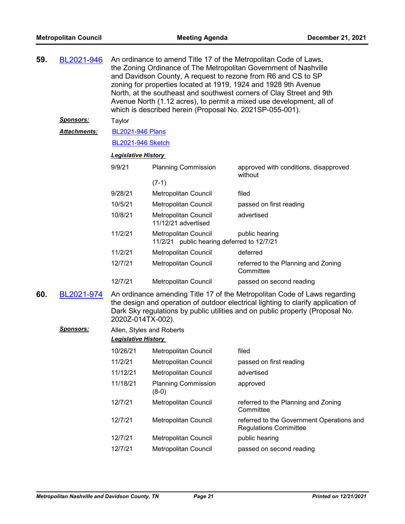| 59. | An ordinance to amend Title 17 of the Metropolitan Code of Laws,<br>BL2021-946<br>the Zoning Ordinance of The Metropolitan Government of Nashville<br>and Davidson County, A request to rezone from R6 and CS to SP<br>zoning for properties located at 1919, 1924 and 1928 9th Avenue<br>North, at the southeast and southwest corners of Clay Street and 9th<br>Avenue North (1.12 acres), to permit a mixed use development, all of<br>which is described herein (Proposal No. 2021SP-055-001). |                            |                                                                    |                                                                                                                                                                                                                                                 |  |  |
|-----|----------------------------------------------------------------------------------------------------------------------------------------------------------------------------------------------------------------------------------------------------------------------------------------------------------------------------------------------------------------------------------------------------------------------------------------------------------------------------------------------------|----------------------------|--------------------------------------------------------------------|-------------------------------------------------------------------------------------------------------------------------------------------------------------------------------------------------------------------------------------------------|--|--|
|     | <u>Sponsors:</u>                                                                                                                                                                                                                                                                                                                                                                                                                                                                                   | Taylor                     |                                                                    |                                                                                                                                                                                                                                                 |  |  |
|     | <b>Attachments:</b>                                                                                                                                                                                                                                                                                                                                                                                                                                                                                | <b>BL2021-946 Plans</b>    |                                                                    |                                                                                                                                                                                                                                                 |  |  |
|     |                                                                                                                                                                                                                                                                                                                                                                                                                                                                                                    | <b>BL2021-946 Sketch</b>   |                                                                    |                                                                                                                                                                                                                                                 |  |  |
|     |                                                                                                                                                                                                                                                                                                                                                                                                                                                                                                    | <b>Legislative History</b> |                                                                    |                                                                                                                                                                                                                                                 |  |  |
|     |                                                                                                                                                                                                                                                                                                                                                                                                                                                                                                    | 9/9/21                     | <b>Planning Commission</b>                                         | approved with conditions, disapproved<br>without                                                                                                                                                                                                |  |  |
|     |                                                                                                                                                                                                                                                                                                                                                                                                                                                                                                    |                            | $(7-1)$                                                            |                                                                                                                                                                                                                                                 |  |  |
|     |                                                                                                                                                                                                                                                                                                                                                                                                                                                                                                    | 9/28/21                    | Metropolitan Council                                               | filed                                                                                                                                                                                                                                           |  |  |
|     |                                                                                                                                                                                                                                                                                                                                                                                                                                                                                                    | 10/5/21                    | <b>Metropolitan Council</b>                                        | passed on first reading                                                                                                                                                                                                                         |  |  |
|     |                                                                                                                                                                                                                                                                                                                                                                                                                                                                                                    | 10/8/21                    | Metropolitan Council<br>11/12/21 advertised                        | advertised                                                                                                                                                                                                                                      |  |  |
|     |                                                                                                                                                                                                                                                                                                                                                                                                                                                                                                    | 11/2/21                    | Metropolitan Council<br>11/2/21 public hearing deferred to 12/7/21 | public hearing                                                                                                                                                                                                                                  |  |  |
|     |                                                                                                                                                                                                                                                                                                                                                                                                                                                                                                    | 11/2/21                    | Metropolitan Council                                               | deferred                                                                                                                                                                                                                                        |  |  |
|     |                                                                                                                                                                                                                                                                                                                                                                                                                                                                                                    | 12/7/21                    | Metropolitan Council                                               | referred to the Planning and Zoning<br>Committee                                                                                                                                                                                                |  |  |
|     |                                                                                                                                                                                                                                                                                                                                                                                                                                                                                                    | 12/7/21                    | <b>Metropolitan Council</b>                                        | passed on second reading                                                                                                                                                                                                                        |  |  |
| 60. | BL2021-974                                                                                                                                                                                                                                                                                                                                                                                                                                                                                         | 2020Z-014TX-002).          |                                                                    | An ordinance amending Title 17 of the Metropolitan Code of Laws regarding<br>the design and operation of outdoor electrical lighting to clarify application of<br>Dark Sky regulations by public utilities and on public property (Proposal No. |  |  |

# *Sponsors:* Allen, Styles and Roberts *Legislative History*  10/26/21 Metropolitan Council filed 11/2/21 Metropolitan Council passed on first reading 11/12/21 Metropolitan Council advertised 11/18/21 Planning Commission approved (8-0) 12/7/21 Metropolitan Council referred to the Planning and Zoning **Committee** 12/7/21 Metropolitan Council referred to the Government Operations and Regulations Committee 12/7/21 Metropolitan Council public hearing 12/7/21 Metropolitan Council passed on second reading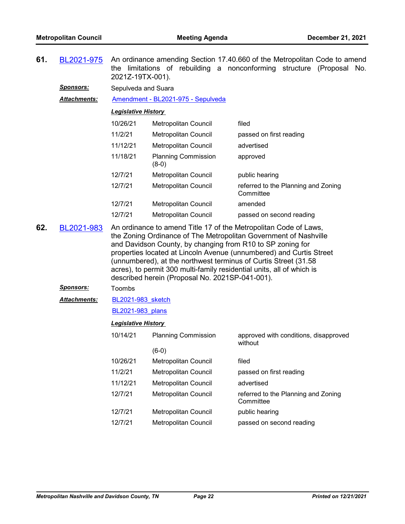- **61.** [BL2021-975](http://nashville.legistar.com/gateway.aspx?m=l&id=/matter.aspx?key=13803) An ordinance amending Section 17.40.660 of the Metropolitan Code to amend the limitations of rebuilding a nonconforming structure (Proposal No. 2021Z-19TX-001). *Sponsors:* Sepulveda and Suara *Attachments:* [Amendment - BL2021-975 - Sepulveda](http://nashville.legistar.com/gateway.aspx?M=F&ID=3349e19a-53c4-49f4-8ec8-cb0ee09338a8.docx) *Legislative History*  10/26/21 Metropolitan Council filed 11/2/21 Metropolitan Council passed on first reading 11/12/21 Metropolitan Council advertised 11/18/21 Planning Commission approved (8-0) 12/7/21 Metropolitan Council public hearing 12/7/21 Metropolitan Council referred to the Planning and Zoning **Committee** 12/7/21 Metropolitan Council amended 12/7/21 Metropolitan Council passed on second reading
- **62.** [BL2021-983](http://nashville.legistar.com/gateway.aspx?m=l&id=/matter.aspx?key=13768) An ordinance to amend Title 17 of the Metropolitan Code of Laws, the Zoning Ordinance of The Metropolitan Government of Nashville and Davidson County, by changing from R10 to SP zoning for properties located at Lincoln Avenue (unnumbered) and Curtis Street (unnumbered), at the northwest terminus of Curtis Street (31.58 acres), to permit 300 multi-family residential units, all of which is described herein (Proposal No. 2021SP-041-001).

#### *Sponsors:* Toombs

[BL2021-983\\_sketch](http://nashville.legistar.com/gateway.aspx?M=F&ID=d5ce1a48-1b94-4192-95dc-2e16b2401edd.docx) *Attachments:*

[BL2021-983\\_plans](http://nashville.legistar.com/gateway.aspx?M=F&ID=5979da38-1fc4-44c7-a6ed-14cbb850a90d.pdf)

| 10/14/21 | <b>Planning Commission</b>  | approved with conditions, disapproved<br>without |
|----------|-----------------------------|--------------------------------------------------|
|          | (6-0)                       |                                                  |
| 10/26/21 | Metropolitan Council        | filed                                            |
| 11/2/21  | Metropolitan Council        | passed on first reading                          |
| 11/12/21 | Metropolitan Council        | advertised                                       |
| 12/7/21  | Metropolitan Council        | referred to the Planning and Zoning<br>Committee |
| 12/7/21  | <b>Metropolitan Council</b> | public hearing                                   |
| 12/7/21  | Metropolitan Council        | passed on second reading                         |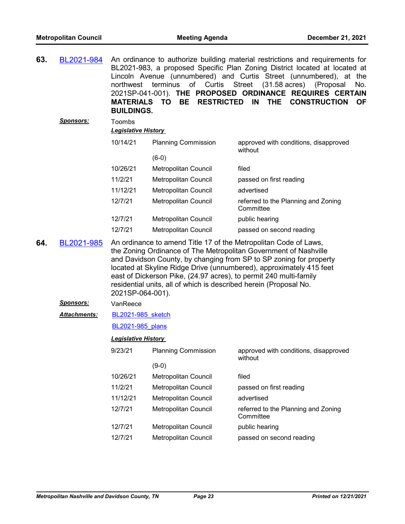| 63. | BL2021-984          | northwest<br><b>MATERIALS TO</b><br><b>BUILDINGS.</b> | of Curtis<br>terminus<br><b>RESTRICTED</b><br><b>BE</b>                                                                                | An ordinance to authorize building material restrictions and requirements for<br>BL2021-983, a proposed Specific Plan Zoning District located at located at<br>Lincoln Avenue (unnumbered) and Curtis Street (unnumbered), at the<br>Street (31.58 acres)<br>(Proposal<br>No.<br>2021SP-041-001). THE PROPOSED ORDINANCE REQUIRES CERTAIN<br>IN<br><b>THE</b><br><b>CONSTRUCTION</b><br><b>OF</b> |
|-----|---------------------|-------------------------------------------------------|----------------------------------------------------------------------------------------------------------------------------------------|---------------------------------------------------------------------------------------------------------------------------------------------------------------------------------------------------------------------------------------------------------------------------------------------------------------------------------------------------------------------------------------------------|
|     | <b>Sponsors:</b>    | Toombs                                                |                                                                                                                                        |                                                                                                                                                                                                                                                                                                                                                                                                   |
|     |                     | <b>Legislative History</b>                            |                                                                                                                                        |                                                                                                                                                                                                                                                                                                                                                                                                   |
|     |                     | 10/14/21                                              | <b>Planning Commission</b><br>$(6-0)$                                                                                                  | approved with conditions, disapproved<br>without                                                                                                                                                                                                                                                                                                                                                  |
|     |                     | 10/26/21                                              | Metropolitan Council                                                                                                                   | filed                                                                                                                                                                                                                                                                                                                                                                                             |
|     |                     | 11/2/21                                               | Metropolitan Council                                                                                                                   | passed on first reading                                                                                                                                                                                                                                                                                                                                                                           |
|     |                     | 11/12/21                                              | Metropolitan Council                                                                                                                   | advertised                                                                                                                                                                                                                                                                                                                                                                                        |
|     |                     | 12/7/21                                               | Metropolitan Council                                                                                                                   | referred to the Planning and Zoning<br>Committee                                                                                                                                                                                                                                                                                                                                                  |
|     |                     | 12/7/21                                               | Metropolitan Council                                                                                                                   | public hearing                                                                                                                                                                                                                                                                                                                                                                                    |
|     |                     | 12/7/21                                               | Metropolitan Council                                                                                                                   | passed on second reading                                                                                                                                                                                                                                                                                                                                                                          |
| 64. | BL2021-985          |                                                       |                                                                                                                                        | An ordinance to amend Title 17 of the Metropolitan Code of Laws,<br>the Zoning Ordinance of The Metropolitan Government of Nashville<br>and Davidson County, by changing from SP to SP zoning for property                                                                                                                                                                                        |
|     |                     | 2021SP-064-001).                                      | east of Dickerson Pike, (24.97 acres), to permit 240 multi-family<br>residential units, all of which is described herein (Proposal No. | located at Skyline Ridge Drive (unnumbered), approximately 415 feet                                                                                                                                                                                                                                                                                                                               |
|     | <u>Sponsors:</u>    | VanReece                                              |                                                                                                                                        |                                                                                                                                                                                                                                                                                                                                                                                                   |
|     | <b>Attachments:</b> | BL2021-985 sketch                                     |                                                                                                                                        |                                                                                                                                                                                                                                                                                                                                                                                                   |
|     |                     | <b>BL2021-985</b> plans                               |                                                                                                                                        |                                                                                                                                                                                                                                                                                                                                                                                                   |
|     |                     | <b>Legislative History</b>                            |                                                                                                                                        |                                                                                                                                                                                                                                                                                                                                                                                                   |
|     |                     | 9/23/21                                               | <b>Planning Commission</b>                                                                                                             | approved with conditions, disapproved                                                                                                                                                                                                                                                                                                                                                             |
|     |                     |                                                       | $(9-0)$                                                                                                                                | without                                                                                                                                                                                                                                                                                                                                                                                           |
|     |                     | 10/26/21                                              | Metropolitan Council                                                                                                                   | filed                                                                                                                                                                                                                                                                                                                                                                                             |
|     |                     | 11/2/21                                               | Metropolitan Council                                                                                                                   | passed on first reading                                                                                                                                                                                                                                                                                                                                                                           |
|     |                     | 11/12/21                                              | Metropolitan Council                                                                                                                   | advertised                                                                                                                                                                                                                                                                                                                                                                                        |
|     |                     | 12/7/21                                               | <b>Metropolitan Council</b>                                                                                                            | referred to the Planning and Zoning<br>Committee                                                                                                                                                                                                                                                                                                                                                  |
|     |                     | 12/7/21                                               | Metropolitan Council                                                                                                                   | public hearing                                                                                                                                                                                                                                                                                                                                                                                    |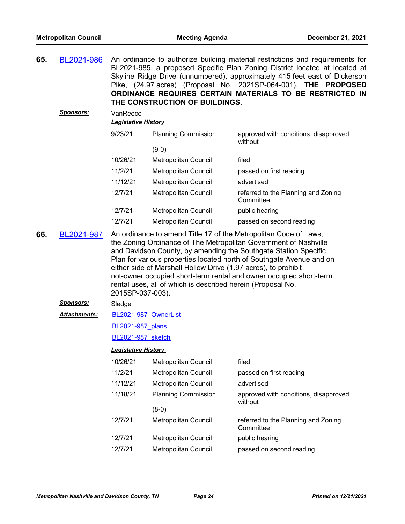| 65.<br>BL2021-986<br>An ordinance to authorize building material restrictions and requirements for<br>BL2021-985, a proposed Specific Plan Zoning District located at located at<br>Skyline Ridge Drive (unnumbered), approximately 415 feet east of Dickerson<br>Pike, (24.97 acres) (Proposal No. 2021SP-064-001). THE PROPOSED<br>ORDINANCE REQUIRES CERTAIN MATERIALS TO BE RESTRICTED IN<br>THE CONSTRUCTION OF BUILDINGS. |                     |                                                                                                                                                                                                                                                                                                                                                                                                                                                                                                            |                             |                                                  |  |  |
|---------------------------------------------------------------------------------------------------------------------------------------------------------------------------------------------------------------------------------------------------------------------------------------------------------------------------------------------------------------------------------------------------------------------------------|---------------------|------------------------------------------------------------------------------------------------------------------------------------------------------------------------------------------------------------------------------------------------------------------------------------------------------------------------------------------------------------------------------------------------------------------------------------------------------------------------------------------------------------|-----------------------------|--------------------------------------------------|--|--|
|                                                                                                                                                                                                                                                                                                                                                                                                                                 | <u>Sponsors:</u>    | VanReece<br><b>Legislative History</b>                                                                                                                                                                                                                                                                                                                                                                                                                                                                     |                             |                                                  |  |  |
|                                                                                                                                                                                                                                                                                                                                                                                                                                 |                     | 9/23/21                                                                                                                                                                                                                                                                                                                                                                                                                                                                                                    | <b>Planning Commission</b>  | approved with conditions, disapproved<br>without |  |  |
|                                                                                                                                                                                                                                                                                                                                                                                                                                 |                     |                                                                                                                                                                                                                                                                                                                                                                                                                                                                                                            | $(9-0)$                     |                                                  |  |  |
|                                                                                                                                                                                                                                                                                                                                                                                                                                 |                     | 10/26/21                                                                                                                                                                                                                                                                                                                                                                                                                                                                                                   | Metropolitan Council        | filed                                            |  |  |
|                                                                                                                                                                                                                                                                                                                                                                                                                                 |                     | 11/2/21                                                                                                                                                                                                                                                                                                                                                                                                                                                                                                    | <b>Metropolitan Council</b> | passed on first reading                          |  |  |
|                                                                                                                                                                                                                                                                                                                                                                                                                                 |                     | 11/12/21                                                                                                                                                                                                                                                                                                                                                                                                                                                                                                   | Metropolitan Council        | advertised                                       |  |  |
|                                                                                                                                                                                                                                                                                                                                                                                                                                 |                     | 12/7/21                                                                                                                                                                                                                                                                                                                                                                                                                                                                                                    | Metropolitan Council        | referred to the Planning and Zoning<br>Committee |  |  |
|                                                                                                                                                                                                                                                                                                                                                                                                                                 |                     | 12/7/21                                                                                                                                                                                                                                                                                                                                                                                                                                                                                                    | <b>Metropolitan Council</b> | public hearing                                   |  |  |
|                                                                                                                                                                                                                                                                                                                                                                                                                                 |                     | 12/7/21                                                                                                                                                                                                                                                                                                                                                                                                                                                                                                    | <b>Metropolitan Council</b> | passed on second reading                         |  |  |
| 66.                                                                                                                                                                                                                                                                                                                                                                                                                             | BL2021-987          | An ordinance to amend Title 17 of the Metropolitan Code of Laws,<br>the Zoning Ordinance of The Metropolitan Government of Nashville<br>and Davidson County, by amending the Southgate Station Specific<br>Plan for various properties located north of Southgate Avenue and on<br>either side of Marshall Hollow Drive (1.97 acres), to prohibit<br>not-owner occupied short-term rental and owner occupied short-term<br>rental uses, all of which is described herein (Proposal No.<br>2015SP-037-003). |                             |                                                  |  |  |
|                                                                                                                                                                                                                                                                                                                                                                                                                                 | <u>Sponsors:</u>    | Sledge                                                                                                                                                                                                                                                                                                                                                                                                                                                                                                     |                             |                                                  |  |  |
|                                                                                                                                                                                                                                                                                                                                                                                                                                 | <b>Attachments:</b> | BL2021-987 OwnerList                                                                                                                                                                                                                                                                                                                                                                                                                                                                                       |                             |                                                  |  |  |
|                                                                                                                                                                                                                                                                                                                                                                                                                                 |                     | <b>BL2021-987</b> plans                                                                                                                                                                                                                                                                                                                                                                                                                                                                                    |                             |                                                  |  |  |
|                                                                                                                                                                                                                                                                                                                                                                                                                                 |                     | BL2021-987 sketch                                                                                                                                                                                                                                                                                                                                                                                                                                                                                          |                             |                                                  |  |  |
|                                                                                                                                                                                                                                                                                                                                                                                                                                 |                     | Legislative History                                                                                                                                                                                                                                                                                                                                                                                                                                                                                        |                             |                                                  |  |  |
|                                                                                                                                                                                                                                                                                                                                                                                                                                 |                     | 10/26/21                                                                                                                                                                                                                                                                                                                                                                                                                                                                                                   | Metropolitan Council        | filed                                            |  |  |
|                                                                                                                                                                                                                                                                                                                                                                                                                                 |                     | 11/2/21                                                                                                                                                                                                                                                                                                                                                                                                                                                                                                    | Metropolitan Council        | passed on first reading                          |  |  |
|                                                                                                                                                                                                                                                                                                                                                                                                                                 |                     | 11/12/21                                                                                                                                                                                                                                                                                                                                                                                                                                                                                                   | Metropolitan Council        | advertised                                       |  |  |
|                                                                                                                                                                                                                                                                                                                                                                                                                                 |                     | 11/18/21                                                                                                                                                                                                                                                                                                                                                                                                                                                                                                   | <b>Planning Commission</b>  | approved with conditions, disapproved<br>without |  |  |
|                                                                                                                                                                                                                                                                                                                                                                                                                                 |                     |                                                                                                                                                                                                                                                                                                                                                                                                                                                                                                            | $(8-0)$                     |                                                  |  |  |
|                                                                                                                                                                                                                                                                                                                                                                                                                                 |                     | 12/7/21                                                                                                                                                                                                                                                                                                                                                                                                                                                                                                    | Metropolitan Council        | referred to the Planning and Zoning<br>Committee |  |  |
|                                                                                                                                                                                                                                                                                                                                                                                                                                 |                     | 12/7/21                                                                                                                                                                                                                                                                                                                                                                                                                                                                                                    | Metropolitan Council        | public hearing                                   |  |  |
|                                                                                                                                                                                                                                                                                                                                                                                                                                 |                     | 12/7/21                                                                                                                                                                                                                                                                                                                                                                                                                                                                                                    | Metropolitan Council        | passed on second reading                         |  |  |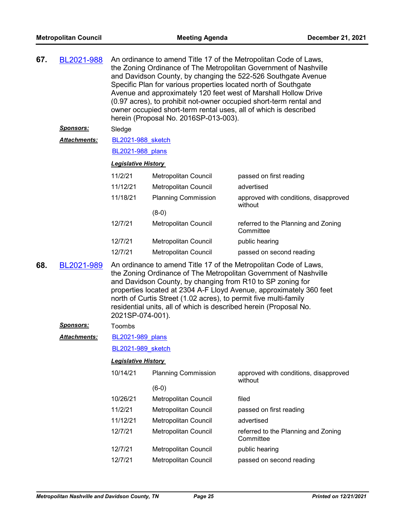| 67. | BL2021-988          |                                                                                                                                                                                                                                                                                                                                                                                                                                        | Specific Plan for various properties located north of Southgate<br>owner occupied short-term rental uses, all of which is described<br>herein (Proposal No. 2016SP-013-003). | An ordinance to amend Title 17 of the Metropolitan Code of Laws,<br>the Zoning Ordinance of The Metropolitan Government of Nashville<br>and Davidson County, by changing the 522-526 Southgate Avenue<br>Avenue and approximately 120 feet west of Marshall Hollow Drive<br>(0.97 acres), to prohibit not-owner occupied short-term rental and |  |  |  |  |
|-----|---------------------|----------------------------------------------------------------------------------------------------------------------------------------------------------------------------------------------------------------------------------------------------------------------------------------------------------------------------------------------------------------------------------------------------------------------------------------|------------------------------------------------------------------------------------------------------------------------------------------------------------------------------|------------------------------------------------------------------------------------------------------------------------------------------------------------------------------------------------------------------------------------------------------------------------------------------------------------------------------------------------|--|--|--|--|
|     | <u>Sponsors:</u>    | Sledge                                                                                                                                                                                                                                                                                                                                                                                                                                 |                                                                                                                                                                              |                                                                                                                                                                                                                                                                                                                                                |  |  |  |  |
|     | <b>Attachments:</b> | BL2021-988 sketch                                                                                                                                                                                                                                                                                                                                                                                                                      |                                                                                                                                                                              |                                                                                                                                                                                                                                                                                                                                                |  |  |  |  |
|     |                     | BL2021-988 plans                                                                                                                                                                                                                                                                                                                                                                                                                       |                                                                                                                                                                              |                                                                                                                                                                                                                                                                                                                                                |  |  |  |  |
|     |                     | <b>Legislative History</b>                                                                                                                                                                                                                                                                                                                                                                                                             |                                                                                                                                                                              |                                                                                                                                                                                                                                                                                                                                                |  |  |  |  |
|     |                     | 11/2/21                                                                                                                                                                                                                                                                                                                                                                                                                                | Metropolitan Council                                                                                                                                                         | passed on first reading                                                                                                                                                                                                                                                                                                                        |  |  |  |  |
|     |                     | 11/12/21                                                                                                                                                                                                                                                                                                                                                                                                                               | Metropolitan Council                                                                                                                                                         | advertised                                                                                                                                                                                                                                                                                                                                     |  |  |  |  |
|     |                     | 11/18/21                                                                                                                                                                                                                                                                                                                                                                                                                               | <b>Planning Commission</b>                                                                                                                                                   | approved with conditions, disapproved<br>without                                                                                                                                                                                                                                                                                               |  |  |  |  |
|     |                     |                                                                                                                                                                                                                                                                                                                                                                                                                                        | $(8-0)$                                                                                                                                                                      |                                                                                                                                                                                                                                                                                                                                                |  |  |  |  |
|     |                     | 12/7/21                                                                                                                                                                                                                                                                                                                                                                                                                                | Metropolitan Council                                                                                                                                                         | referred to the Planning and Zoning<br>Committee                                                                                                                                                                                                                                                                                               |  |  |  |  |
|     |                     | 12/7/21                                                                                                                                                                                                                                                                                                                                                                                                                                | Metropolitan Council                                                                                                                                                         | public hearing                                                                                                                                                                                                                                                                                                                                 |  |  |  |  |
|     |                     | 12/7/21                                                                                                                                                                                                                                                                                                                                                                                                                                | Metropolitan Council                                                                                                                                                         | passed on second reading                                                                                                                                                                                                                                                                                                                       |  |  |  |  |
| 68. | BL2021-989          | An ordinance to amend Title 17 of the Metropolitan Code of Laws,<br>the Zoning Ordinance of The Metropolitan Government of Nashville<br>and Davidson County, by changing from R10 to SP zoning for<br>properties located at 2304 A-F Lloyd Avenue, approximately 360 feet<br>north of Curtis Street (1.02 acres), to permit five multi-family<br>residential units, all of which is described herein (Proposal No.<br>2021SP-074-001). |                                                                                                                                                                              |                                                                                                                                                                                                                                                                                                                                                |  |  |  |  |
|     | <u>Sponsors:</u>    | Toombs                                                                                                                                                                                                                                                                                                                                                                                                                                 |                                                                                                                                                                              |                                                                                                                                                                                                                                                                                                                                                |  |  |  |  |
|     | <b>Attachments:</b> | BL2021-989 plans                                                                                                                                                                                                                                                                                                                                                                                                                       |                                                                                                                                                                              |                                                                                                                                                                                                                                                                                                                                                |  |  |  |  |
|     |                     | BL2021-989 sketch                                                                                                                                                                                                                                                                                                                                                                                                                      |                                                                                                                                                                              |                                                                                                                                                                                                                                                                                                                                                |  |  |  |  |
|     |                     | <b>Legislative History</b>                                                                                                                                                                                                                                                                                                                                                                                                             |                                                                                                                                                                              |                                                                                                                                                                                                                                                                                                                                                |  |  |  |  |
|     |                     | 10/14/21                                                                                                                                                                                                                                                                                                                                                                                                                               | <b>Planning Commission</b>                                                                                                                                                   | approved with conditions, disapproved                                                                                                                                                                                                                                                                                                          |  |  |  |  |
|     |                     |                                                                                                                                                                                                                                                                                                                                                                                                                                        | $(6-0)$                                                                                                                                                                      | without                                                                                                                                                                                                                                                                                                                                        |  |  |  |  |
|     |                     | 10/26/21                                                                                                                                                                                                                                                                                                                                                                                                                               | Metropolitan Council                                                                                                                                                         | filed                                                                                                                                                                                                                                                                                                                                          |  |  |  |  |
|     |                     | 11/2/21                                                                                                                                                                                                                                                                                                                                                                                                                                | Metropolitan Council                                                                                                                                                         | passed on first reading                                                                                                                                                                                                                                                                                                                        |  |  |  |  |
|     |                     | 11/12/21                                                                                                                                                                                                                                                                                                                                                                                                                               | Metropolitan Council                                                                                                                                                         | advertised                                                                                                                                                                                                                                                                                                                                     |  |  |  |  |
|     |                     | 12/7/21                                                                                                                                                                                                                                                                                                                                                                                                                                | Metropolitan Council                                                                                                                                                         | referred to the Planning and Zoning<br>Committee                                                                                                                                                                                                                                                                                               |  |  |  |  |
|     |                     | 12/7/21                                                                                                                                                                                                                                                                                                                                                                                                                                | Metropolitan Council                                                                                                                                                         | public hearing                                                                                                                                                                                                                                                                                                                                 |  |  |  |  |
|     |                     | 12/7/21                                                                                                                                                                                                                                                                                                                                                                                                                                | Metropolitan Council                                                                                                                                                         | passed on second reading                                                                                                                                                                                                                                                                                                                       |  |  |  |  |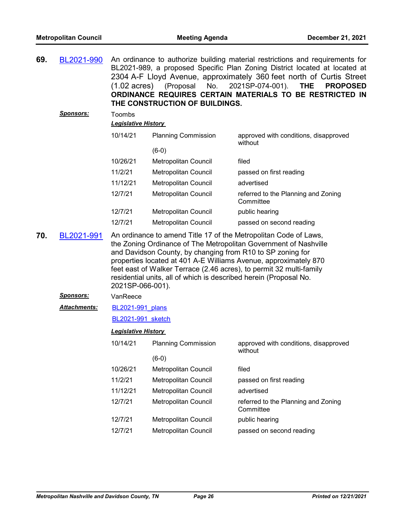| 69. | BL2021-990       | An ordinance to authorize building material restrictions and requirements for<br>BL2021-989, a proposed Specific Plan Zoning District located at located at<br>2304 A-F Lloyd Avenue, approximately 360 feet north of Curtis Street<br>2021SP-074-001).<br>(1.02 acres) (Proposal<br>No.<br><b>THE</b><br><b>PROPOSED</b><br>ORDINANCE REQUIRES CERTAIN MATERIALS TO BE RESTRICTED IN<br>THE CONSTRUCTION OF BUILDINGS.                |                             |                                                  |  |  |  |
|-----|------------------|----------------------------------------------------------------------------------------------------------------------------------------------------------------------------------------------------------------------------------------------------------------------------------------------------------------------------------------------------------------------------------------------------------------------------------------|-----------------------------|--------------------------------------------------|--|--|--|
|     | Sponsors:        | Toombs                                                                                                                                                                                                                                                                                                                                                                                                                                 |                             |                                                  |  |  |  |
|     |                  | <b>Legislative History</b>                                                                                                                                                                                                                                                                                                                                                                                                             |                             |                                                  |  |  |  |
|     |                  | 10/14/21                                                                                                                                                                                                                                                                                                                                                                                                                               | <b>Planning Commission</b>  | approved with conditions, disapproved<br>without |  |  |  |
|     |                  |                                                                                                                                                                                                                                                                                                                                                                                                                                        | $(6-0)$                     |                                                  |  |  |  |
|     |                  | 10/26/21                                                                                                                                                                                                                                                                                                                                                                                                                               | Metropolitan Council        | filed                                            |  |  |  |
|     |                  | 11/2/21                                                                                                                                                                                                                                                                                                                                                                                                                                | Metropolitan Council        | passed on first reading                          |  |  |  |
|     |                  | 11/12/21                                                                                                                                                                                                                                                                                                                                                                                                                               | Metropolitan Council        | advertised                                       |  |  |  |
|     |                  | 12/7/21                                                                                                                                                                                                                                                                                                                                                                                                                                | Metropolitan Council        | referred to the Planning and Zoning<br>Committee |  |  |  |
|     |                  | 12/7/21                                                                                                                                                                                                                                                                                                                                                                                                                                | Metropolitan Council        | public hearing                                   |  |  |  |
|     |                  | 12/7/21                                                                                                                                                                                                                                                                                                                                                                                                                                | <b>Metropolitan Council</b> | passed on second reading                         |  |  |  |
| 70. | BL2021-991       | An ordinance to amend Title 17 of the Metropolitan Code of Laws,<br>the Zoning Ordinance of The Metropolitan Government of Nashville<br>and Davidson County, by changing from R10 to SP zoning for<br>properties located at 401 A-E Williams Avenue, approximately 870<br>feet east of Walker Terrace (2.46 acres), to permit 32 multi-family<br>residential units, all of which is described herein (Proposal No.<br>2021SP-066-001). |                             |                                                  |  |  |  |
|     | <u>Sponsors:</u> | VanReece                                                                                                                                                                                                                                                                                                                                                                                                                               |                             |                                                  |  |  |  |
|     | Attachments:     | <b>BL2021-991 plans</b>                                                                                                                                                                                                                                                                                                                                                                                                                |                             |                                                  |  |  |  |
|     |                  | <b>BL2021-991 sketch</b>                                                                                                                                                                                                                                                                                                                                                                                                               |                             |                                                  |  |  |  |
|     |                  | <b>Legislative History</b>                                                                                                                                                                                                                                                                                                                                                                                                             |                             |                                                  |  |  |  |
|     |                  | 10/14/21                                                                                                                                                                                                                                                                                                                                                                                                                               | <b>Planning Commission</b>  | approved with conditions, disapproved            |  |  |  |
|     |                  |                                                                                                                                                                                                                                                                                                                                                                                                                                        | $(6-0)$                     | without                                          |  |  |  |
|     |                  | 10/26/21                                                                                                                                                                                                                                                                                                                                                                                                                               | Metropolitan Council        | filed                                            |  |  |  |
|     |                  | 11/2/21                                                                                                                                                                                                                                                                                                                                                                                                                                | Metropolitan Council        | passed on first reading                          |  |  |  |
|     |                  | 11/12/21                                                                                                                                                                                                                                                                                                                                                                                                                               | Metropolitan Council        | advertised                                       |  |  |  |
|     |                  | 12/7/21                                                                                                                                                                                                                                                                                                                                                                                                                                | Metropolitan Council        | referred to the Planning and Zoning<br>Committee |  |  |  |
|     |                  | 12/7/21                                                                                                                                                                                                                                                                                                                                                                                                                                | Metropolitan Council        | public hearing                                   |  |  |  |
|     |                  | 12/7/21                                                                                                                                                                                                                                                                                                                                                                                                                                | Metropolitan Council        | passed on second reading                         |  |  |  |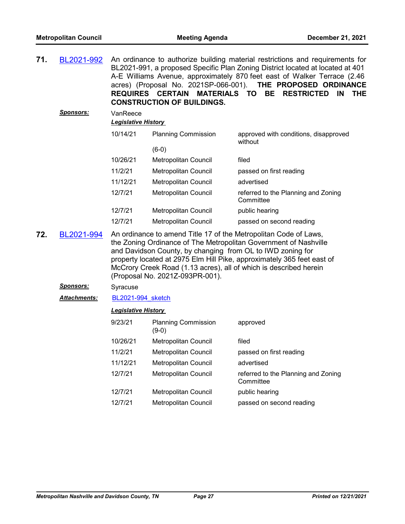| 71. | BL2021-992       |                                        | <b>CONSTRUCTION OF BUILDINGS.</b>     | An ordinance to authorize building material restrictions and requirements for<br>BL2021-991, a proposed Specific Plan Zoning District located at located at 401<br>A-E Williams Avenue, approximately 870 feet east of Walker Terrace (2.46<br>acres) (Proposal No. 2021SP-066-001). THE PROPOSED ORDINANCE<br>REQUIRES CERTAIN MATERIALS TO BE RESTRICTED<br><b>THE</b><br>IN |
|-----|------------------|----------------------------------------|---------------------------------------|--------------------------------------------------------------------------------------------------------------------------------------------------------------------------------------------------------------------------------------------------------------------------------------------------------------------------------------------------------------------------------|
|     | <b>Sponsors:</b> | VanReece<br><b>Legislative History</b> |                                       |                                                                                                                                                                                                                                                                                                                                                                                |
|     |                  | 10/14/21                               | <b>Planning Commission</b><br>$(6-0)$ | approved with conditions, disapproved<br>without                                                                                                                                                                                                                                                                                                                               |
|     |                  | 10/26/21                               | <b>Metropolitan Council</b>           | filed                                                                                                                                                                                                                                                                                                                                                                          |
|     |                  | 11/2/21                                | Metropolitan Council                  | passed on first reading                                                                                                                                                                                                                                                                                                                                                        |
|     |                  | 11/12/21                               | Metropolitan Council                  | advertised                                                                                                                                                                                                                                                                                                                                                                     |
|     |                  | 12/7/21                                | Metropolitan Council                  | referred to the Planning and Zoning<br>Committee                                                                                                                                                                                                                                                                                                                               |

| 12/7/21 | Metropolitan Council | public hearing           |
|---------|----------------------|--------------------------|
| 12/7/21 | Metropolitan Council | passed on second reading |

**72.** [BL2021-994](http://nashville.legistar.com/gateway.aspx?m=l&id=/matter.aspx?key=13762) An ordinance to amend Title 17 of the Metropolitan Code of Laws, the Zoning Ordinance of The Metropolitan Government of Nashville and Davidson County, by changing from OL to IWD zoning for property located at 2975 Elm Hill Pike, approximately 365 feet east of McCrory Creek Road (1.13 acres), all of which is described herein (Proposal No. 2021Z-093PR-001).

#### *Sponsors:* Syracuse

Attachments: BL2021-994 sketch

| 9/23/21  | <b>Planning Commission</b><br>(9-0) | approved                                         |
|----------|-------------------------------------|--------------------------------------------------|
| 10/26/21 | <b>Metropolitan Council</b>         | filed                                            |
| 11/2/21  | <b>Metropolitan Council</b>         | passed on first reading                          |
| 11/12/21 | <b>Metropolitan Council</b>         | advertised                                       |
| 12/7/21  | <b>Metropolitan Council</b>         | referred to the Planning and Zoning<br>Committee |
| 12/7/21  | <b>Metropolitan Council</b>         | public hearing                                   |
| 12/7/21  | Metropolitan Council                | passed on second reading                         |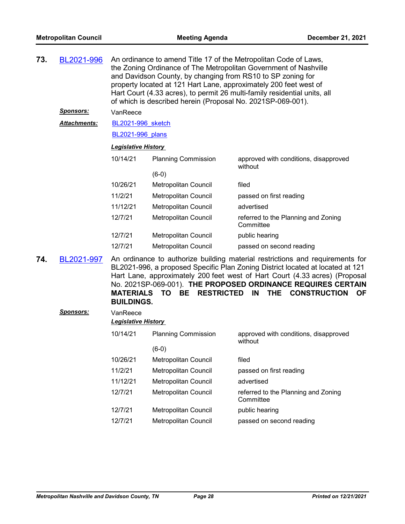| 73.<br>An ordinance to amend Title 17 of the Metropolitan Code of Laws,<br>BL2021-996<br>the Zoning Ordinance of The Metropolitan Government of Nashville<br>and Davidson County, by changing from RS10 to SP zoning for<br>property located at 121 Hart Lane, approximately 200 feet west of<br>Hart Court (4.33 acres), to permit 26 multi-family residential units, all<br>of which is described herein (Proposal No. 2021SP-069-001). |                     |                                                                                                                                                                                                                                                                                                                                                                                                                                                   |                            |                                                  |  |
|-------------------------------------------------------------------------------------------------------------------------------------------------------------------------------------------------------------------------------------------------------------------------------------------------------------------------------------------------------------------------------------------------------------------------------------------|---------------------|---------------------------------------------------------------------------------------------------------------------------------------------------------------------------------------------------------------------------------------------------------------------------------------------------------------------------------------------------------------------------------------------------------------------------------------------------|----------------------------|--------------------------------------------------|--|
|                                                                                                                                                                                                                                                                                                                                                                                                                                           | <u>Sponsors:</u>    | VanReece                                                                                                                                                                                                                                                                                                                                                                                                                                          |                            |                                                  |  |
|                                                                                                                                                                                                                                                                                                                                                                                                                                           | <b>Attachments:</b> | BL2021-996 sketch                                                                                                                                                                                                                                                                                                                                                                                                                                 |                            |                                                  |  |
|                                                                                                                                                                                                                                                                                                                                                                                                                                           |                     | BL2021-996 plans                                                                                                                                                                                                                                                                                                                                                                                                                                  |                            |                                                  |  |
|                                                                                                                                                                                                                                                                                                                                                                                                                                           |                     | <b>Legislative History</b>                                                                                                                                                                                                                                                                                                                                                                                                                        |                            |                                                  |  |
|                                                                                                                                                                                                                                                                                                                                                                                                                                           |                     | 10/14/21                                                                                                                                                                                                                                                                                                                                                                                                                                          | <b>Planning Commission</b> | approved with conditions, disapproved            |  |
|                                                                                                                                                                                                                                                                                                                                                                                                                                           |                     |                                                                                                                                                                                                                                                                                                                                                                                                                                                   | $(6-0)$                    | without                                          |  |
|                                                                                                                                                                                                                                                                                                                                                                                                                                           |                     | 10/26/21                                                                                                                                                                                                                                                                                                                                                                                                                                          | Metropolitan Council       | filed                                            |  |
|                                                                                                                                                                                                                                                                                                                                                                                                                                           |                     | 11/2/21                                                                                                                                                                                                                                                                                                                                                                                                                                           | Metropolitan Council       | passed on first reading                          |  |
|                                                                                                                                                                                                                                                                                                                                                                                                                                           |                     | 11/12/21                                                                                                                                                                                                                                                                                                                                                                                                                                          | Metropolitan Council       | advertised                                       |  |
|                                                                                                                                                                                                                                                                                                                                                                                                                                           |                     | 12/7/21                                                                                                                                                                                                                                                                                                                                                                                                                                           | Metropolitan Council       | referred to the Planning and Zoning<br>Committee |  |
|                                                                                                                                                                                                                                                                                                                                                                                                                                           |                     | 12/7/21                                                                                                                                                                                                                                                                                                                                                                                                                                           | Metropolitan Council       | public hearing                                   |  |
|                                                                                                                                                                                                                                                                                                                                                                                                                                           |                     | 12/7/21                                                                                                                                                                                                                                                                                                                                                                                                                                           | Metropolitan Council       | passed on second reading                         |  |
| 74.                                                                                                                                                                                                                                                                                                                                                                                                                                       | BL2021-997          | An ordinance to authorize building material restrictions and requirements for<br>BL2021-996, a proposed Specific Plan Zoning District located at located at 121<br>Hart Lane, approximately 200 feet west of Hart Court (4.33 acres) (Proposal<br>No. 2021SP-069-001). THE PROPOSED ORDINANCE REQUIRES CERTAIN<br><b>RESTRICTED</b><br>IN<br><b>MATERIALS</b><br>TO<br><b>BE</b><br>THE.<br><b>CONSTRUCTION</b><br><b>OF</b><br><b>BUILDINGS.</b> |                            |                                                  |  |
|                                                                                                                                                                                                                                                                                                                                                                                                                                           | <b>Sponsors:</b>    | VanReece                                                                                                                                                                                                                                                                                                                                                                                                                                          |                            |                                                  |  |
|                                                                                                                                                                                                                                                                                                                                                                                                                                           |                     | <b>Legislative History</b>                                                                                                                                                                                                                                                                                                                                                                                                                        |                            |                                                  |  |
|                                                                                                                                                                                                                                                                                                                                                                                                                                           |                     | 10/14/21                                                                                                                                                                                                                                                                                                                                                                                                                                          | <b>Planning Commission</b> | approved with conditions, disapproved<br>without |  |
|                                                                                                                                                                                                                                                                                                                                                                                                                                           |                     |                                                                                                                                                                                                                                                                                                                                                                                                                                                   | $(6-0)$                    |                                                  |  |
|                                                                                                                                                                                                                                                                                                                                                                                                                                           |                     | 10/26/21                                                                                                                                                                                                                                                                                                                                                                                                                                          | Metropolitan Council       | filed                                            |  |
|                                                                                                                                                                                                                                                                                                                                                                                                                                           |                     | 11/2/21                                                                                                                                                                                                                                                                                                                                                                                                                                           | Metropolitan Council       | passed on first reading                          |  |
|                                                                                                                                                                                                                                                                                                                                                                                                                                           |                     | 11/12/21                                                                                                                                                                                                                                                                                                                                                                                                                                          | Metropolitan Council       | advertised                                       |  |
|                                                                                                                                                                                                                                                                                                                                                                                                                                           |                     | 12/7/21                                                                                                                                                                                                                                                                                                                                                                                                                                           | Metropolitan Council       | referred to the Planning and Zoning<br>Committee |  |
|                                                                                                                                                                                                                                                                                                                                                                                                                                           |                     | 12/7/21                                                                                                                                                                                                                                                                                                                                                                                                                                           | Metropolitan Council       | public hearing                                   |  |
|                                                                                                                                                                                                                                                                                                                                                                                                                                           |                     | 12/7/21                                                                                                                                                                                                                                                                                                                                                                                                                                           | Metropolitan Council       | passed on second reading                         |  |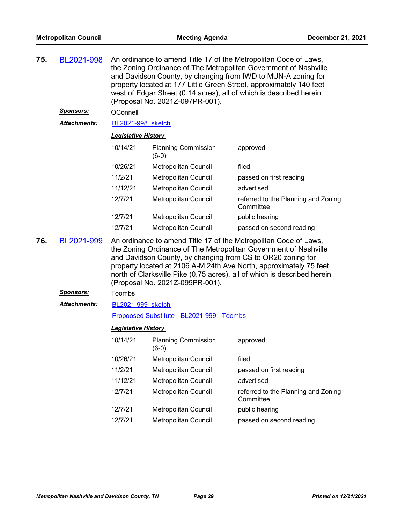| 75. | BL2021-998          | An ordinance to amend Title 17 of the Metropolitan Code of Laws,<br>the Zoning Ordinance of The Metropolitan Government of Nashville<br>and Davidson County, by changing from IWD to MUN-A zoning for<br>property located at 177 Little Green Street, approximately 140 feet<br>west of Edgar Street (0.14 acres), all of which is described herein<br>(Proposal No. 2021Z-097PR-001).   |                                       |                                                  |  |  |
|-----|---------------------|------------------------------------------------------------------------------------------------------------------------------------------------------------------------------------------------------------------------------------------------------------------------------------------------------------------------------------------------------------------------------------------|---------------------------------------|--------------------------------------------------|--|--|
|     | <u>Sponsors:</u>    | OConnell                                                                                                                                                                                                                                                                                                                                                                                 |                                       |                                                  |  |  |
|     | <b>Attachments:</b> | <b>BL2021-998</b> sketch                                                                                                                                                                                                                                                                                                                                                                 |                                       |                                                  |  |  |
|     |                     | <b>Legislative History</b>                                                                                                                                                                                                                                                                                                                                                               |                                       |                                                  |  |  |
|     |                     | 10/14/21                                                                                                                                                                                                                                                                                                                                                                                 | <b>Planning Commission</b><br>$(6-0)$ | approved                                         |  |  |
|     |                     | 10/26/21                                                                                                                                                                                                                                                                                                                                                                                 | Metropolitan Council                  | filed                                            |  |  |
|     |                     | 11/2/21                                                                                                                                                                                                                                                                                                                                                                                  | <b>Metropolitan Council</b>           | passed on first reading                          |  |  |
|     |                     | 11/12/21                                                                                                                                                                                                                                                                                                                                                                                 | Metropolitan Council                  | advertised                                       |  |  |
|     |                     | 12/7/21                                                                                                                                                                                                                                                                                                                                                                                  | Metropolitan Council                  | referred to the Planning and Zoning<br>Committee |  |  |
|     |                     | 12/7/21                                                                                                                                                                                                                                                                                                                                                                                  | Metropolitan Council                  | public hearing                                   |  |  |
|     |                     | 12/7/21                                                                                                                                                                                                                                                                                                                                                                                  | <b>Metropolitan Council</b>           | passed on second reading                         |  |  |
| 76. | BL2021-999          | An ordinance to amend Title 17 of the Metropolitan Code of Laws,<br>the Zoning Ordinance of The Metropolitan Government of Nashville<br>and Davidson County, by changing from CS to OR20 zoning for<br>property located at 2106 A-M 24th Ave North, approximately 75 feet<br>north of Clarksville Pike (0.75 acres), all of which is described herein<br>(Proposal No. 2021Z-099PR-001). |                                       |                                                  |  |  |
|     | Sponsors:           | Toombs                                                                                                                                                                                                                                                                                                                                                                                   |                                       |                                                  |  |  |
|     | <b>Attachments:</b> | <b>BL2021-999</b> sketch                                                                                                                                                                                                                                                                                                                                                                 |                                       |                                                  |  |  |
|     |                     | Propoosed Substitute - BL2021-999 - Toombs                                                                                                                                                                                                                                                                                                                                               |                                       |                                                  |  |  |
|     |                     | <b>Legislative History</b>                                                                                                                                                                                                                                                                                                                                                               |                                       |                                                  |  |  |
|     |                     | 10/14/21                                                                                                                                                                                                                                                                                                                                                                                 | <b>Planning Commission</b><br>$(6-0)$ | approved                                         |  |  |
|     |                     | 10/26/21                                                                                                                                                                                                                                                                                                                                                                                 | Metropolitan Council                  | filed                                            |  |  |
|     |                     | 11/2/21                                                                                                                                                                                                                                                                                                                                                                                  | Metropolitan Council                  | passed on first reading                          |  |  |
|     |                     | 11/12/21                                                                                                                                                                                                                                                                                                                                                                                 | Metropolitan Council                  | advertised                                       |  |  |
|     |                     | 12/7/21                                                                                                                                                                                                                                                                                                                                                                                  | <b>Metropolitan Council</b>           | referred to the Planning and Zoning<br>Committee |  |  |
|     |                     | 12/7/21                                                                                                                                                                                                                                                                                                                                                                                  | Metropolitan Council                  | public hearing                                   |  |  |
|     |                     | 12/7/21                                                                                                                                                                                                                                                                                                                                                                                  | Metropolitan Council                  | passed on second reading                         |  |  |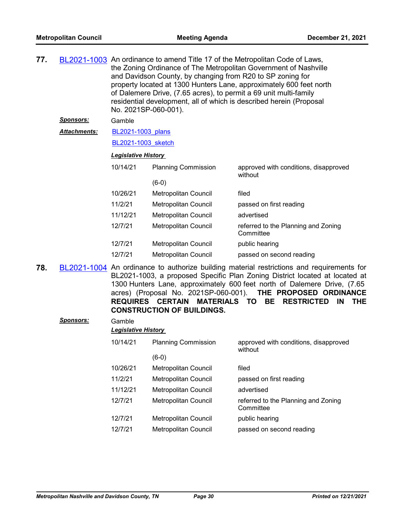| 77. |                      | BL2021-1003 An ordinance to amend Title 17 of the Metropolitan Code of Laws,<br>the Zoning Ordinance of The Metropolitan Government of Nashville<br>and Davidson County, by changing from R20 to SP zoning for<br>property located at 1300 Hunters Lane, approximately 600 feet north<br>of Dalemere Drive, (7.65 acres), to permit a 69 unit multi-family<br>residential development, all of which is described herein (Proposal<br>No. 2021SP-060-001).                                |                             |                                                  |  |
|-----|----------------------|------------------------------------------------------------------------------------------------------------------------------------------------------------------------------------------------------------------------------------------------------------------------------------------------------------------------------------------------------------------------------------------------------------------------------------------------------------------------------------------|-----------------------------|--------------------------------------------------|--|
|     | <u>Sponsors:</u>     | Gamble                                                                                                                                                                                                                                                                                                                                                                                                                                                                                   |                             |                                                  |  |
|     | <u> Attachments:</u> | BL2021-1003 plans                                                                                                                                                                                                                                                                                                                                                                                                                                                                        |                             |                                                  |  |
|     |                      | <b>BL2021-1003</b> sketch                                                                                                                                                                                                                                                                                                                                                                                                                                                                |                             |                                                  |  |
|     |                      | <b>Legislative History</b>                                                                                                                                                                                                                                                                                                                                                                                                                                                               |                             |                                                  |  |
|     |                      | 10/14/21                                                                                                                                                                                                                                                                                                                                                                                                                                                                                 | <b>Planning Commission</b>  | approved with conditions, disapproved<br>without |  |
|     |                      |                                                                                                                                                                                                                                                                                                                                                                                                                                                                                          | $(6-0)$                     |                                                  |  |
|     |                      | 10/26/21                                                                                                                                                                                                                                                                                                                                                                                                                                                                                 | Metropolitan Council        | filed                                            |  |
|     |                      | 11/2/21                                                                                                                                                                                                                                                                                                                                                                                                                                                                                  | Metropolitan Council        | passed on first reading                          |  |
|     |                      | 11/12/21                                                                                                                                                                                                                                                                                                                                                                                                                                                                                 | <b>Metropolitan Council</b> | advertised                                       |  |
|     |                      | 12/7/21                                                                                                                                                                                                                                                                                                                                                                                                                                                                                  | Metropolitan Council        | referred to the Planning and Zoning<br>Committee |  |
|     |                      | 12/7/21                                                                                                                                                                                                                                                                                                                                                                                                                                                                                  | Metropolitan Council        | public hearing                                   |  |
|     |                      | 12/7/21                                                                                                                                                                                                                                                                                                                                                                                                                                                                                  | Metropolitan Council        | passed on second reading                         |  |
| 78. |                      | BL2021-1004 An ordinance to authorize building material restrictions and requirements for<br>BL2021-1003, a proposed Specific Plan Zoning District located at located at<br>1300 Hunters Lane, approximately 600 feet north of Dalemere Drive, (7.65<br>acres) (Proposal No. 2021SP-060-001).<br>THE PROPOSED ORDINANCE<br><b>MATERIALS</b><br><b>BE</b><br><b>RESTRICTED</b><br>IN<br><b>REQUIRES</b><br><b>CERTAIN</b><br><b>TO</b><br><b>THE</b><br><b>CONSTRUCTION OF BUILDINGS.</b> |                             |                                                  |  |
|     | <u>Sponsors:</u>     | Gamble                                                                                                                                                                                                                                                                                                                                                                                                                                                                                   |                             |                                                  |  |
|     |                      | <b>Legislative History</b>                                                                                                                                                                                                                                                                                                                                                                                                                                                               |                             |                                                  |  |
|     |                      | 10/14/21                                                                                                                                                                                                                                                                                                                                                                                                                                                                                 | <b>Planning Commission</b>  | approved with conditions, disapproved<br>without |  |
|     |                      |                                                                                                                                                                                                                                                                                                                                                                                                                                                                                          | $(6-0)$                     |                                                  |  |
|     |                      | 10/26/21                                                                                                                                                                                                                                                                                                                                                                                                                                                                                 | Metropolitan Council        | filed                                            |  |
|     |                      | 11/2/21                                                                                                                                                                                                                                                                                                                                                                                                                                                                                  | Metropolitan Council        | passed on first reading                          |  |
|     |                      | 11/12/21                                                                                                                                                                                                                                                                                                                                                                                                                                                                                 | Metropolitan Council        | advertised                                       |  |
|     |                      | 12/7/21                                                                                                                                                                                                                                                                                                                                                                                                                                                                                  | <b>Metropolitan Council</b> | referred to the Planning and Zoning<br>Committee |  |
|     |                      | 12/7/21                                                                                                                                                                                                                                                                                                                                                                                                                                                                                  | Metropolitan Council        | public hearing                                   |  |
|     |                      | 12/7/21                                                                                                                                                                                                                                                                                                                                                                                                                                                                                  | Metropolitan Council        | passed on second reading                         |  |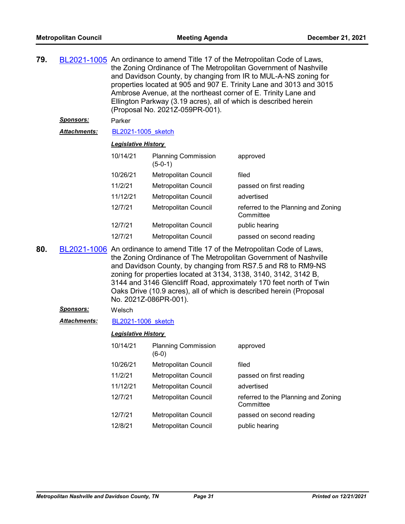| 79.                                       |                      | BL2021-1005 An ordinance to amend Title 17 of the Metropolitan Code of Laws,<br>the Zoning Ordinance of The Metropolitan Government of Nashville<br>and Davidson County, by changing from IR to MUL-A-NS zoning for<br>properties located at 905 and 907 E. Trinity Lane and 3013 and 3015<br>Ambrose Avenue, at the northeast corner of E. Trinity Lane and<br>Ellington Parkway (3.19 acres), all of which is described herein<br>(Proposal No. 2021Z-059PR-001). |                                         |                                                  |  |
|-------------------------------------------|----------------------|---------------------------------------------------------------------------------------------------------------------------------------------------------------------------------------------------------------------------------------------------------------------------------------------------------------------------------------------------------------------------------------------------------------------------------------------------------------------|-----------------------------------------|--------------------------------------------------|--|
|                                           | <u>Sponsors:</u>     | Parker                                                                                                                                                                                                                                                                                                                                                                                                                                                              |                                         |                                                  |  |
| <b>Attachments:</b><br>BL2021-1005 sketch |                      |                                                                                                                                                                                                                                                                                                                                                                                                                                                                     |                                         |                                                  |  |
|                                           |                      | <b>Legislative History</b>                                                                                                                                                                                                                                                                                                                                                                                                                                          |                                         |                                                  |  |
|                                           |                      | 10/14/21                                                                                                                                                                                                                                                                                                                                                                                                                                                            | <b>Planning Commission</b><br>$(5-0-1)$ | approved                                         |  |
|                                           |                      | 10/26/21                                                                                                                                                                                                                                                                                                                                                                                                                                                            | Metropolitan Council                    | filed                                            |  |
|                                           |                      | 11/2/21                                                                                                                                                                                                                                                                                                                                                                                                                                                             | Metropolitan Council                    | passed on first reading                          |  |
|                                           |                      | 11/12/21                                                                                                                                                                                                                                                                                                                                                                                                                                                            | Metropolitan Council                    | advertised                                       |  |
|                                           |                      | 12/7/21                                                                                                                                                                                                                                                                                                                                                                                                                                                             | Metropolitan Council                    | referred to the Planning and Zoning<br>Committee |  |
|                                           |                      | 12/7/21                                                                                                                                                                                                                                                                                                                                                                                                                                                             | <b>Metropolitan Council</b>             | public hearing                                   |  |
|                                           |                      | 12/7/21                                                                                                                                                                                                                                                                                                                                                                                                                                                             | <b>Metropolitan Council</b>             | passed on second reading                         |  |
| 80.                                       |                      | BL2021-1006 An ordinance to amend Title 17 of the Metropolitan Code of Laws,<br>the Zoning Ordinance of The Metropolitan Government of Nashville<br>and Davidson County, by changing from RS7.5 and R8 to RM9-NS<br>zoning for properties located at 3134, 3138, 3140, 3142, 3142 B,<br>3144 and 3146 Glencliff Road, approximately 170 feet north of Twin<br>Oaks Drive (10.9 acres), all of which is described herein (Proposal<br>No. 2021Z-086PR-001).          |                                         |                                                  |  |
|                                           | <u>Sponsors:</u>     | Welsch                                                                                                                                                                                                                                                                                                                                                                                                                                                              |                                         |                                                  |  |
|                                           | <u> Attachments:</u> | BL2021-1006 sketch                                                                                                                                                                                                                                                                                                                                                                                                                                                  |                                         |                                                  |  |
|                                           |                      | <b>Legislative History</b>                                                                                                                                                                                                                                                                                                                                                                                                                                          |                                         |                                                  |  |
|                                           |                      | 10/14/21                                                                                                                                                                                                                                                                                                                                                                                                                                                            | <b>Planning Commission</b><br>$(6-0)$   | approved                                         |  |
|                                           |                      | 10/26/21                                                                                                                                                                                                                                                                                                                                                                                                                                                            | Metropolitan Council                    | filed                                            |  |
|                                           |                      | 11/2/21                                                                                                                                                                                                                                                                                                                                                                                                                                                             | Metropolitan Council                    | passed on first reading                          |  |
|                                           |                      | 11/12/21                                                                                                                                                                                                                                                                                                                                                                                                                                                            | Metropolitan Council                    | advertised                                       |  |
|                                           |                      | 12/7/21                                                                                                                                                                                                                                                                                                                                                                                                                                                             | Metropolitan Council                    | referred to the Planning and Zoning<br>Committee |  |
|                                           |                      | 12/7/21                                                                                                                                                                                                                                                                                                                                                                                                                                                             | Metropolitan Council                    | passed on second reading                         |  |
|                                           |                      | 12/8/21                                                                                                                                                                                                                                                                                                                                                                                                                                                             | Metropolitan Council                    | public hearing                                   |  |
|                                           |                      |                                                                                                                                                                                                                                                                                                                                                                                                                                                                     |                                         |                                                  |  |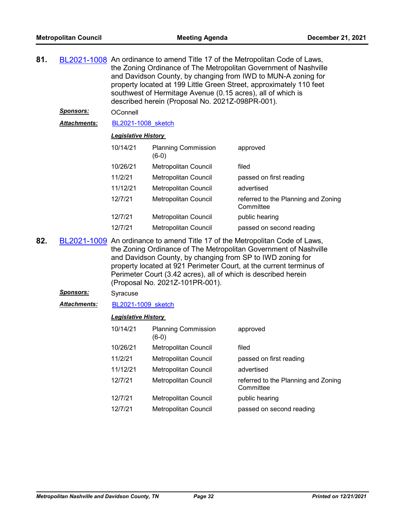| 81. | BL2021-1008 An ordinance to amend Title 17 of the Metropolitan Code of Laws,<br>the Zoning Ordinance of The Metropolitan Government of Nashville<br>and Davidson County, by changing from IWD to MUN-A zoning for<br>property located at 199 Little Green Street, approximately 110 feet<br>southwest of Hermitage Avenue (0.15 acres), all of which is<br>described herein (Proposal No. 2021Z-098PR-001). |                                                                                                                                                                                                                                                                                                                                                                                            |                                       |                                                  |  |  |  |
|-----|-------------------------------------------------------------------------------------------------------------------------------------------------------------------------------------------------------------------------------------------------------------------------------------------------------------------------------------------------------------------------------------------------------------|--------------------------------------------------------------------------------------------------------------------------------------------------------------------------------------------------------------------------------------------------------------------------------------------------------------------------------------------------------------------------------------------|---------------------------------------|--------------------------------------------------|--|--|--|
|     | <b>Sponsors:</b>                                                                                                                                                                                                                                                                                                                                                                                            | OConnell                                                                                                                                                                                                                                                                                                                                                                                   |                                       |                                                  |  |  |  |
|     | <b>Attachments:</b>                                                                                                                                                                                                                                                                                                                                                                                         | BL2021-1008 sketch                                                                                                                                                                                                                                                                                                                                                                         |                                       |                                                  |  |  |  |
|     |                                                                                                                                                                                                                                                                                                                                                                                                             | <b>Legislative History</b>                                                                                                                                                                                                                                                                                                                                                                 |                                       |                                                  |  |  |  |
|     |                                                                                                                                                                                                                                                                                                                                                                                                             | 10/14/21                                                                                                                                                                                                                                                                                                                                                                                   | <b>Planning Commission</b><br>$(6-0)$ | approved                                         |  |  |  |
|     |                                                                                                                                                                                                                                                                                                                                                                                                             | 10/26/21                                                                                                                                                                                                                                                                                                                                                                                   | Metropolitan Council                  | filed                                            |  |  |  |
|     |                                                                                                                                                                                                                                                                                                                                                                                                             | 11/2/21                                                                                                                                                                                                                                                                                                                                                                                    | Metropolitan Council                  | passed on first reading                          |  |  |  |
|     |                                                                                                                                                                                                                                                                                                                                                                                                             | 11/12/21                                                                                                                                                                                                                                                                                                                                                                                   | <b>Metropolitan Council</b>           | advertised                                       |  |  |  |
|     |                                                                                                                                                                                                                                                                                                                                                                                                             | 12/7/21                                                                                                                                                                                                                                                                                                                                                                                    | Metropolitan Council                  | referred to the Planning and Zoning<br>Committee |  |  |  |
|     |                                                                                                                                                                                                                                                                                                                                                                                                             | 12/7/21                                                                                                                                                                                                                                                                                                                                                                                    | Metropolitan Council                  | public hearing                                   |  |  |  |
|     |                                                                                                                                                                                                                                                                                                                                                                                                             | 12/7/21                                                                                                                                                                                                                                                                                                                                                                                    | Metropolitan Council                  | passed on second reading                         |  |  |  |
| 82. |                                                                                                                                                                                                                                                                                                                                                                                                             | BL2021-1009 An ordinance to amend Title 17 of the Metropolitan Code of Laws,<br>the Zoning Ordinance of The Metropolitan Government of Nashville<br>and Davidson County, by changing from SP to IWD zoning for<br>property located at 921 Perimeter Court, at the current terminus of<br>Perimeter Court (3.42 acres), all of which is described herein<br>(Proposal No. 2021Z-101PR-001). |                                       |                                                  |  |  |  |
|     | <u>Sponsors:</u>                                                                                                                                                                                                                                                                                                                                                                                            | Syracuse                                                                                                                                                                                                                                                                                                                                                                                   |                                       |                                                  |  |  |  |
|     | Attachments:                                                                                                                                                                                                                                                                                                                                                                                                | BL2021-1009 sketch                                                                                                                                                                                                                                                                                                                                                                         |                                       |                                                  |  |  |  |
|     |                                                                                                                                                                                                                                                                                                                                                                                                             | <b>Legislative History</b>                                                                                                                                                                                                                                                                                                                                                                 |                                       |                                                  |  |  |  |
|     |                                                                                                                                                                                                                                                                                                                                                                                                             | 10/14/21                                                                                                                                                                                                                                                                                                                                                                                   | <b>Planning Commission</b><br>$(6-0)$ | approved                                         |  |  |  |
|     |                                                                                                                                                                                                                                                                                                                                                                                                             | 10/26/21                                                                                                                                                                                                                                                                                                                                                                                   | Metropolitan Council                  | filed                                            |  |  |  |
|     |                                                                                                                                                                                                                                                                                                                                                                                                             | 11/2/21                                                                                                                                                                                                                                                                                                                                                                                    | Metropolitan Council                  | passed on first reading                          |  |  |  |
|     |                                                                                                                                                                                                                                                                                                                                                                                                             | 11/12/21                                                                                                                                                                                                                                                                                                                                                                                   | Metropolitan Council                  | advertised                                       |  |  |  |
|     |                                                                                                                                                                                                                                                                                                                                                                                                             | 12/7/21                                                                                                                                                                                                                                                                                                                                                                                    | <b>Metropolitan Council</b>           | referred to the Planning and Zoning<br>Committee |  |  |  |
|     |                                                                                                                                                                                                                                                                                                                                                                                                             | 12/7/21                                                                                                                                                                                                                                                                                                                                                                                    | Metropolitan Council                  | public hearing                                   |  |  |  |

12/7/21 Metropolitan Council passed on second reading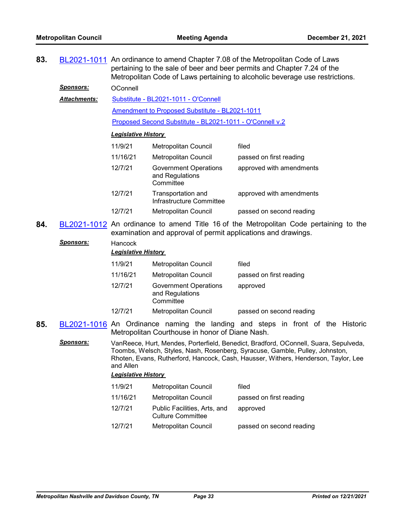| 83. | BL2021-1011 An ordinance to amend Chapter 7.08 of the Metropolitan Code of Laws<br>pertaining to the sale of beer and beer permits and Chapter 7.24 of the<br>Metropolitan Code of Laws pertaining to alcoholic beverage use restrictions. |                                                                                                                                                        |                                                              |                          |  |  |
|-----|--------------------------------------------------------------------------------------------------------------------------------------------------------------------------------------------------------------------------------------------|--------------------------------------------------------------------------------------------------------------------------------------------------------|--------------------------------------------------------------|--------------------------|--|--|
|     | <b>Sponsors:</b>                                                                                                                                                                                                                           | OConnell                                                                                                                                               |                                                              |                          |  |  |
|     | <b>Attachments:</b>                                                                                                                                                                                                                        | Substitute - BL2021-1011 - O'Connell                                                                                                                   |                                                              |                          |  |  |
|     |                                                                                                                                                                                                                                            | Amendment to Proposed Substitute - BL2021-1011                                                                                                         |                                                              |                          |  |  |
|     |                                                                                                                                                                                                                                            | Proposed Second Substitute - BL2021-1011 - O'Connell v.2                                                                                               |                                                              |                          |  |  |
|     |                                                                                                                                                                                                                                            | <b>Legislative History</b>                                                                                                                             |                                                              |                          |  |  |
|     |                                                                                                                                                                                                                                            | 11/9/21                                                                                                                                                | Metropolitan Council                                         | filed                    |  |  |
|     |                                                                                                                                                                                                                                            | 11/16/21                                                                                                                                               | <b>Metropolitan Council</b>                                  | passed on first reading  |  |  |
|     |                                                                                                                                                                                                                                            | 12/7/21                                                                                                                                                | <b>Government Operations</b><br>and Regulations<br>Committee | approved with amendments |  |  |
|     |                                                                                                                                                                                                                                            | 12/7/21                                                                                                                                                | Transportation and<br>Infrastructure Committee               | approved with amendments |  |  |
|     |                                                                                                                                                                                                                                            | 12/7/21                                                                                                                                                | Metropolitan Council                                         | passed on second reading |  |  |
| 84. |                                                                                                                                                                                                                                            | BL2021-1012 An ordinance to amend Title 16 of the Metropolitan Code pertaining to the<br>examination and approval of permit applications and drawings. |                                                              |                          |  |  |
|     | <b>Sponsors:</b>                                                                                                                                                                                                                           | Hancock                                                                                                                                                |                                                              |                          |  |  |

| 11/9/21  | Metropolitan Council                                         | filed                    |
|----------|--------------------------------------------------------------|--------------------------|
| 11/16/21 | Metropolitan Council                                         | passed on first reading  |
| 12/7/21  | <b>Government Operations</b><br>and Regulations<br>Committee | approved                 |
| 12/7/21  | <b>Metropolitan Council</b>                                  | passed on second reading |
|          |                                                              |                          |

### **85.** [BL2021-1016](http://nashville.legistar.com/gateway.aspx?m=l&id=/matter.aspx?key=13830) An Ordinance naming the landing and steps in front of the Historic Metropolitan Courthouse in honor of Diane Nash.

*Sponsors:* VanReece, Hurt, Mendes, Porterfield, Benedict, Bradford, OConnell, Suara, Sepulveda, Toombs, Welsch, Styles, Nash, Rosenberg, Syracuse, Gamble, Pulley, Johnston, Rhoten, Evans, Rutherford, Hancock, Cash, Hausser, Withers, Henderson, Taylor, Lee and Allen

| 11/9/21  | Metropolitan Council                                     | filed                    |
|----------|----------------------------------------------------------|--------------------------|
| 11/16/21 | Metropolitan Council                                     | passed on first reading  |
| 12/7/21  | Public Facilities, Arts, and<br><b>Culture Committee</b> | approved                 |
| 12/7/21  | Metropolitan Council                                     | passed on second reading |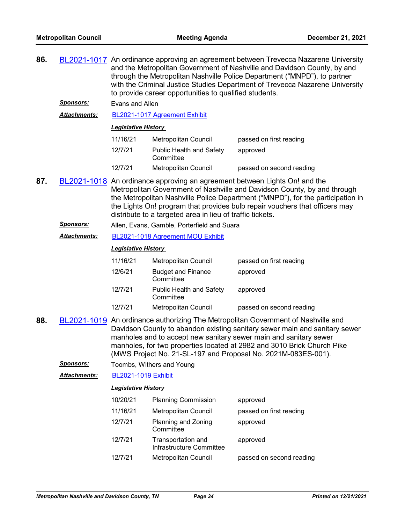| 86. |                      | BL2021-1017 An ordinance approving an agreement between Trevecca Nazarene University<br>and the Metropolitan Government of Nashville and Davidson County, by and<br>through the Metropolitan Nashville Police Department ("MNPD"), to partner<br>with the Criminal Justice Studies Department of Trevecca Nazarene University<br>to provide career opportunities to qualified students. |                                                                                                                                                                                                                                                                                                                                                                                       |                          |  |  |
|-----|----------------------|-----------------------------------------------------------------------------------------------------------------------------------------------------------------------------------------------------------------------------------------------------------------------------------------------------------------------------------------------------------------------------------------|---------------------------------------------------------------------------------------------------------------------------------------------------------------------------------------------------------------------------------------------------------------------------------------------------------------------------------------------------------------------------------------|--------------------------|--|--|
|     | <u>Sponsors:</u>     | Evans and Allen                                                                                                                                                                                                                                                                                                                                                                         |                                                                                                                                                                                                                                                                                                                                                                                       |                          |  |  |
|     | Attachments:         | BL2021-1017 Agreement Exhibit                                                                                                                                                                                                                                                                                                                                                           |                                                                                                                                                                                                                                                                                                                                                                                       |                          |  |  |
|     |                      | <b>Legislative History</b>                                                                                                                                                                                                                                                                                                                                                              |                                                                                                                                                                                                                                                                                                                                                                                       |                          |  |  |
|     |                      | 11/16/21                                                                                                                                                                                                                                                                                                                                                                                | Metropolitan Council                                                                                                                                                                                                                                                                                                                                                                  | passed on first reading  |  |  |
|     |                      | 12/7/21                                                                                                                                                                                                                                                                                                                                                                                 | <b>Public Health and Safety</b><br>Committee                                                                                                                                                                                                                                                                                                                                          | approved                 |  |  |
|     |                      | 12/7/21                                                                                                                                                                                                                                                                                                                                                                                 | Metropolitan Council                                                                                                                                                                                                                                                                                                                                                                  | passed on second reading |  |  |
| 87. |                      |                                                                                                                                                                                                                                                                                                                                                                                         | BL2021-1018 An ordinance approving an agreement between Lights On! and the<br>Metropolitan Government of Nashville and Davidson County, by and through<br>the Metropolitan Nashville Police Department ("MNPD"), for the participation in<br>the Lights On! program that provides bulb repair vouchers that officers may<br>distribute to a targeted area in lieu of traffic tickets. |                          |  |  |
|     | <u>Sponsors:</u>     |                                                                                                                                                                                                                                                                                                                                                                                         | Allen, Evans, Gamble, Porterfield and Suara                                                                                                                                                                                                                                                                                                                                           |                          |  |  |
|     | <u> Attachments:</u> |                                                                                                                                                                                                                                                                                                                                                                                         | BL2021-1018 Agreement MOU Exhibit                                                                                                                                                                                                                                                                                                                                                     |                          |  |  |
|     |                      | <b>Legislative History</b>                                                                                                                                                                                                                                                                                                                                                              |                                                                                                                                                                                                                                                                                                                                                                                       |                          |  |  |
|     |                      | 11/16/21                                                                                                                                                                                                                                                                                                                                                                                | Metropolitan Council                                                                                                                                                                                                                                                                                                                                                                  | passed on first reading  |  |  |
|     |                      | 12/6/21                                                                                                                                                                                                                                                                                                                                                                                 | <b>Budget and Finance</b><br>Committee                                                                                                                                                                                                                                                                                                                                                | approved                 |  |  |
|     |                      | 12/7/21                                                                                                                                                                                                                                                                                                                                                                                 | Public Health and Safety<br>Committee                                                                                                                                                                                                                                                                                                                                                 | approved                 |  |  |
|     |                      | 12/7/21                                                                                                                                                                                                                                                                                                                                                                                 | Metropolitan Council                                                                                                                                                                                                                                                                                                                                                                  | passed on second reading |  |  |
| 88. |                      |                                                                                                                                                                                                                                                                                                                                                                                         | BL2021-1019 An ordinance authorizing The Metropolitan Government of Nashville and<br>Davidson County to abandon existing sanitary sewer main and sanitary sewer<br>manholes and to accept new sanitary sewer main and sanitary sewer<br>manholes, for two properties located at 2982 and 3010 Brick Church Pike<br>(MWS Project No. 21-SL-197 and Proposal No. 2021M-083ES-001).      |                          |  |  |
|     | <b>Sponsors:</b>     |                                                                                                                                                                                                                                                                                                                                                                                         | Toombs, Withers and Young                                                                                                                                                                                                                                                                                                                                                             |                          |  |  |
|     | Attachments:         | <b>BL2021-1019 Exhibit</b>                                                                                                                                                                                                                                                                                                                                                              |                                                                                                                                                                                                                                                                                                                                                                                       |                          |  |  |
|     |                      | <b>Legislative History</b>                                                                                                                                                                                                                                                                                                                                                              |                                                                                                                                                                                                                                                                                                                                                                                       |                          |  |  |
|     |                      | 10/20/21                                                                                                                                                                                                                                                                                                                                                                                | <b>Planning Commission</b>                                                                                                                                                                                                                                                                                                                                                            | approved                 |  |  |
|     |                      | 11/16/21                                                                                                                                                                                                                                                                                                                                                                                | Metropolitan Council                                                                                                                                                                                                                                                                                                                                                                  | passed on first reading  |  |  |
|     |                      | 12/7/21                                                                                                                                                                                                                                                                                                                                                                                 | Planning and Zoning<br>Committee                                                                                                                                                                                                                                                                                                                                                      | approved                 |  |  |
|     |                      | 12/7/21                                                                                                                                                                                                                                                                                                                                                                                 | Transportation and<br>Infrastructure Committee                                                                                                                                                                                                                                                                                                                                        | approved                 |  |  |
|     |                      | 12/7/21                                                                                                                                                                                                                                                                                                                                                                                 | Metropolitan Council                                                                                                                                                                                                                                                                                                                                                                  | passed on second reading |  |  |